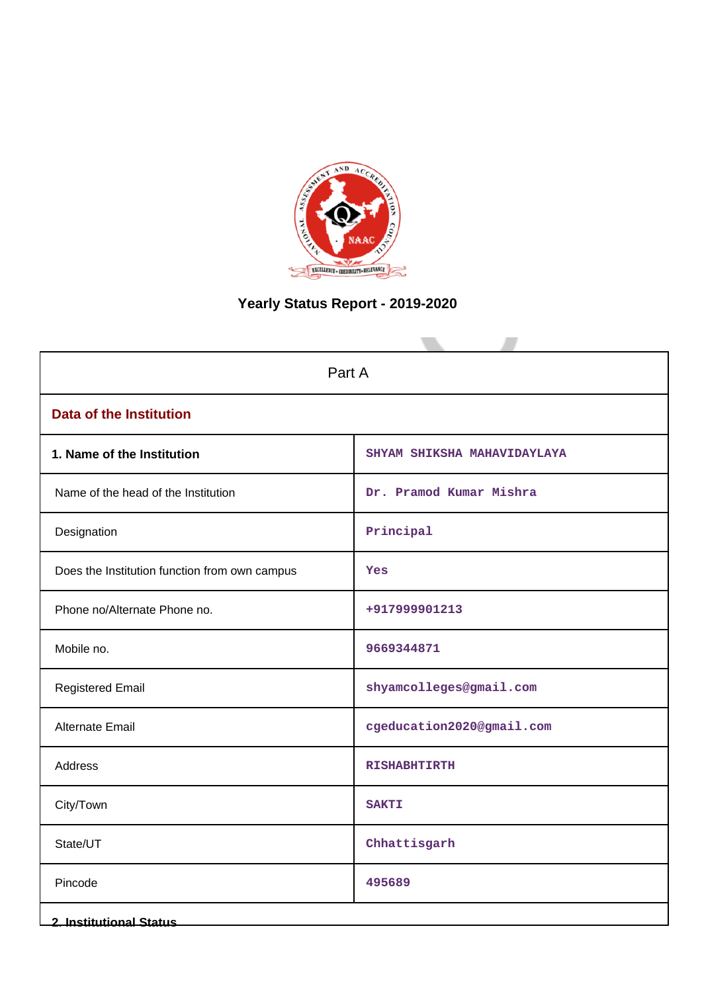

# **Yearly Status Report - 2019-2020**

| Part A                                        |                             |  |
|-----------------------------------------------|-----------------------------|--|
| <b>Data of the Institution</b>                |                             |  |
| 1. Name of the Institution                    | SHYAM SHIKSHA MAHAVIDAYLAYA |  |
| Name of the head of the Institution           | Dr. Pramod Kumar Mishra     |  |
| Designation                                   | Principal                   |  |
| Does the Institution function from own campus | Yes                         |  |
| Phone no/Alternate Phone no.                  | +917999901213               |  |
| Mobile no.                                    | 9669344871                  |  |
| <b>Registered Email</b>                       | shyamcolleges@gmail.com     |  |
| Alternate Email                               | cgeducation2020@gmail.com   |  |
| <b>Address</b>                                | <b>RISHABHTIRTH</b>         |  |
| City/Town                                     | <b>SAKTI</b>                |  |
| State/UT                                      | Chhattisgarh                |  |
| Pincode                                       | 495689                      |  |
| <b>2. Institutional Status</b>                |                             |  |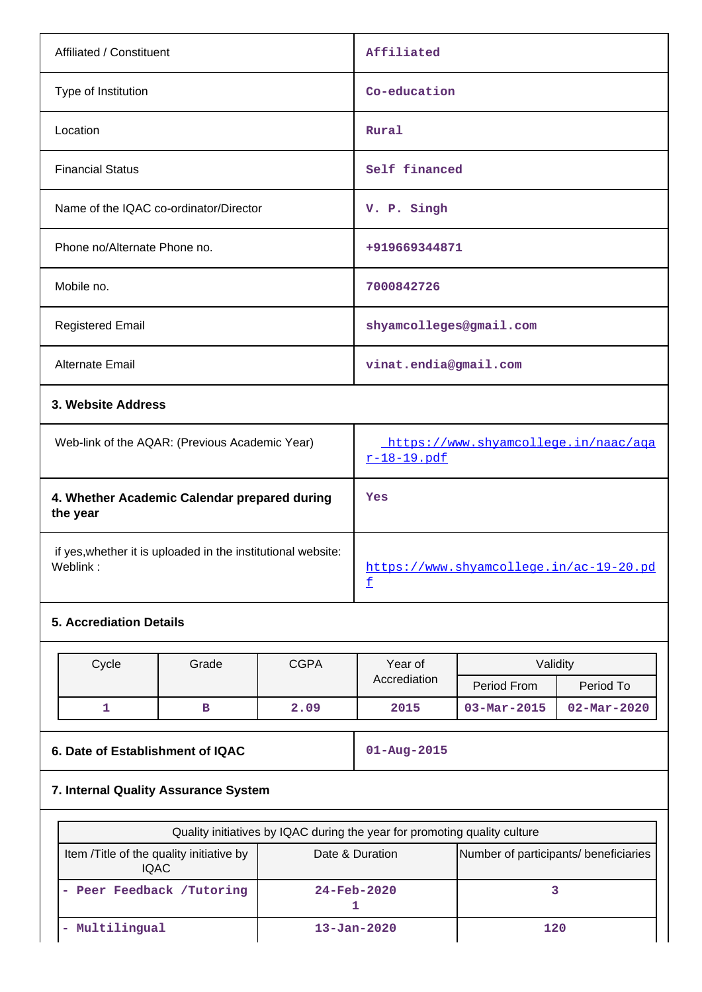| Affiliated / Constituent                                                 | Affiliated                                          |
|--------------------------------------------------------------------------|-----------------------------------------------------|
| Type of Institution                                                      | Co-education                                        |
| Location                                                                 | Rural                                               |
| <b>Financial Status</b>                                                  | Self financed                                       |
| Name of the IQAC co-ordinator/Director                                   | V. P. Singh                                         |
| Phone no/Alternate Phone no.                                             | +919669344871                                       |
| Mobile no.                                                               | 7000842726                                          |
| <b>Registered Email</b>                                                  | shyamcolleges@gmail.com                             |
| Alternate Email                                                          | vinat.endia@gmail.com                               |
| 3. Website Address                                                       |                                                     |
| Web-link of the AQAR: (Previous Academic Year)                           | https://www.shyamcollege.in/naac/aga<br>r-18-19.pdf |
| 4. Whether Academic Calendar prepared during<br>the year                 | Yes                                                 |
| if yes, whether it is uploaded in the institutional website:<br>Weblink: | https://www.shyamcollege.in/ac-19-20.pd             |

# **5. Accrediation Details**

| Cycle | Grade | <b>CGPA</b> | Year of      |                   | Validity                 |
|-------|-------|-------------|--------------|-------------------|--------------------------|
|       |       |             | Accrediation | Period From       | Period To                |
|       | в     | 2.09        | 2015         | $03 - Mar - 2015$ | $02 - \text{Mar} - 2020$ |

f

**6. Date of Establishment of IQAC 01-Aug-2015**

# **7. Internal Quality Assurance System**

| Quality initiatives by IQAC during the year for promoting quality culture |                                       |     |  |  |
|---------------------------------------------------------------------------|---------------------------------------|-----|--|--|
| Item /Title of the quality initiative by<br><b>IQAC</b>                   | Number of participants/ beneficiaries |     |  |  |
| - Peer Feedback /Tutoring                                                 | $24 - Feb - 2020$                     |     |  |  |
| Multilingual                                                              | $13 - Jan - 2020$                     | 120 |  |  |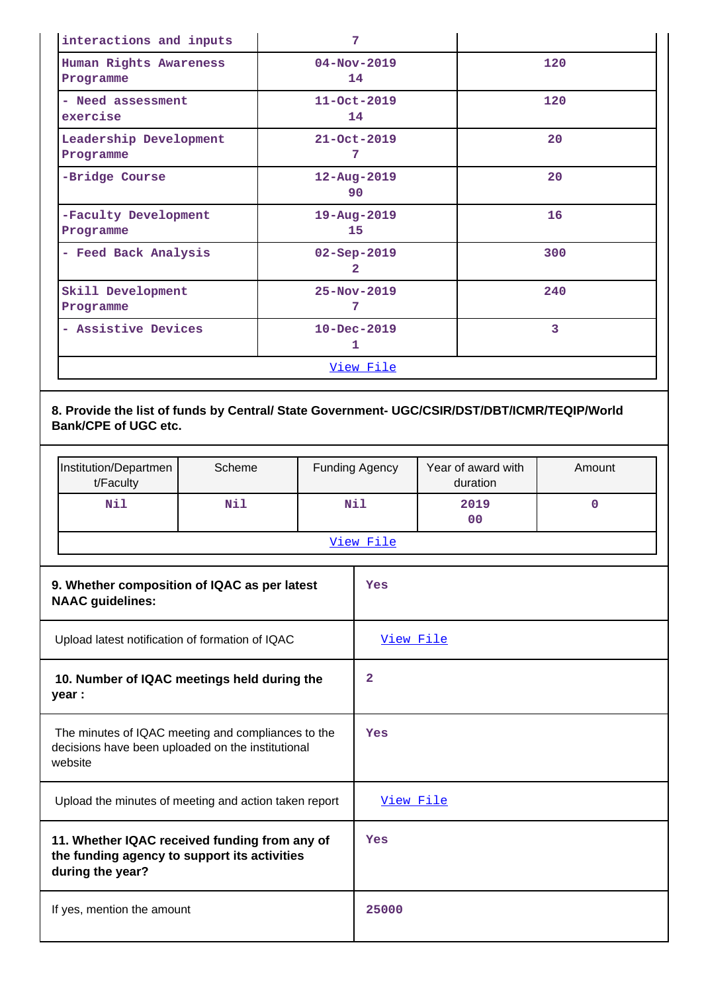| interactions and inputs             | 7                                   |     |
|-------------------------------------|-------------------------------------|-----|
| Human Rights Awareness<br>Programme | $04 - Nov - 2019$<br>14             | 120 |
| - Need assessment<br>exercise       | $11 - Oct - 2019$<br>14             | 120 |
| Leadership Development<br>Programme | $21 - Oct - 2019$<br>7              | 20  |
| -Bridge Course                      | 12-Aug-2019<br>90                   | 20  |
| -Faculty Development<br>Programme   | 19-Aug-2019<br>15                   | 16  |
| - Feed Back Analysis                | $02 - Sep - 2019$<br>$\overline{2}$ | 300 |
| Skill Development<br>Programme      | $25 - Nov - 2019$<br>7              | 240 |
| - Assistive Devices                 | $10 - Dec - 2019$<br>1              | 3   |
|                                     | <u>View File</u>                    |     |

**8. Provide the list of funds by Central/ State Government- UGC/CSIR/DST/DBT/ICMR/TEQIP/World Bank/CPE of UGC etc.**

| Institution/Departmen<br>t/Faculty | Scheme | <b>Funding Agency</b> | Year of award with<br>duration | Amount |
|------------------------------------|--------|-----------------------|--------------------------------|--------|
| Nil                                | Nil    | Nil                   | 2019<br>00                     |        |
|                                    |        | View File             |                                |        |

| 9. Whether composition of IQAC as per latest<br><b>NAAC guidelines:</b>                                            | Yes       |
|--------------------------------------------------------------------------------------------------------------------|-----------|
| Upload latest notification of formation of IQAC                                                                    | View File |
| 10. Number of IQAC meetings held during the<br>year :                                                              | 2         |
| The minutes of IQAC meeting and compliances to the<br>decisions have been uploaded on the institutional<br>website | Yes       |
| Upload the minutes of meeting and action taken report                                                              | View File |
| 11. Whether IQAC received funding from any of<br>the funding agency to support its activities<br>during the year?  | Yes       |
| If yes, mention the amount                                                                                         | 25000     |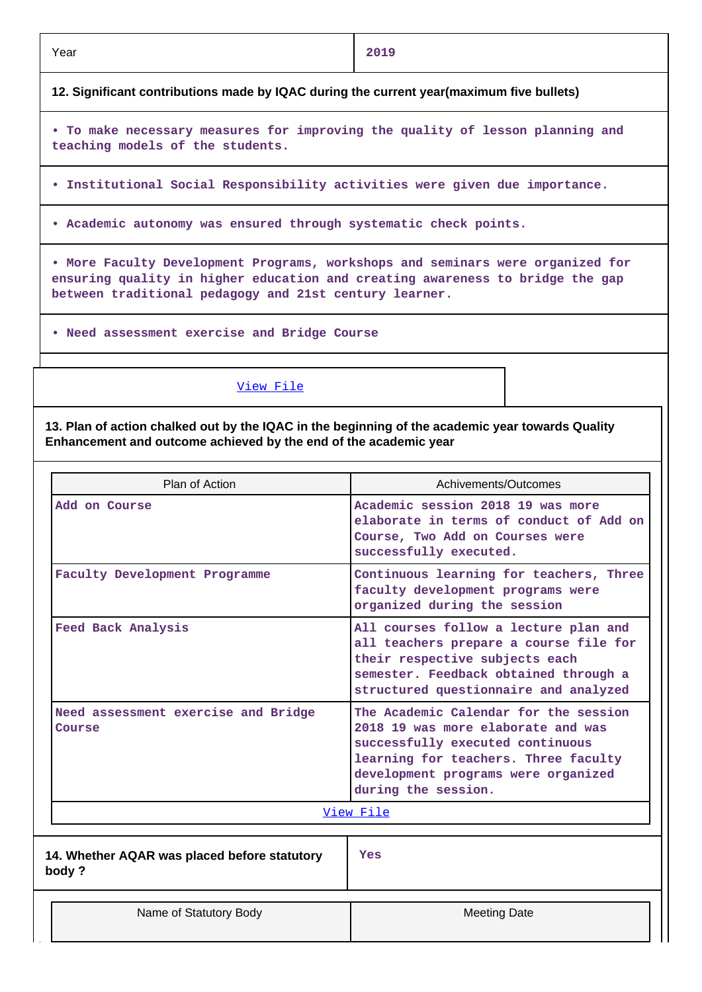|--|

## Year **2019**

**12. Significant contributions made by IQAC during the current year(maximum five bullets)**

**• To make necessary measures for improving the quality of lesson planning and teaching models of the students.**

- **Institutional Social Responsibility activities were given due importance.**
- **Academic autonomy was ensured through systematic check points.**

**• More Faculty Development Programs, workshops and seminars were organized for ensuring quality in higher education and creating awareness to bridge the gap between traditional pedagogy and 21st century learner.**

**• Need assessment exercise and Bridge Course**

#### View File

**13. Plan of action chalked out by the IQAC in the beginning of the academic year towards Quality Enhancement and outcome achieved by the end of the academic year**

| Plan of Action                                        | Achivements/Outcomes                                                                                                                                                                                                  |  |  |
|-------------------------------------------------------|-----------------------------------------------------------------------------------------------------------------------------------------------------------------------------------------------------------------------|--|--|
| Add on Course                                         | Academic session 2018 19 was more<br>elaborate in terms of conduct of Add on<br>Course, Two Add on Courses were<br>successfully executed.                                                                             |  |  |
| Faculty Development Programme                         | Continuous learning for teachers, Three<br>faculty development programs were<br>organized during the session                                                                                                          |  |  |
| Feed Back Analysis                                    | All courses follow a lecture plan and<br>all teachers prepare a course file for<br>their respective subjects each<br>semester. Feedback obtained through a<br>structured questionnaire and analyzed                   |  |  |
| Need assessment exercise and Bridge<br>Course         | The Academic Calendar for the session<br>2018 19 was more elaborate and was<br>successfully executed continuous<br>learning for teachers. Three faculty<br>development programs were organized<br>during the session. |  |  |
|                                                       | View File                                                                                                                                                                                                             |  |  |
| 14. Whether AQAR was placed before statutory<br>body? | <b>Yes</b>                                                                                                                                                                                                            |  |  |
| Name of Statutory Body                                | <b>Meeting Date</b>                                                                                                                                                                                                   |  |  |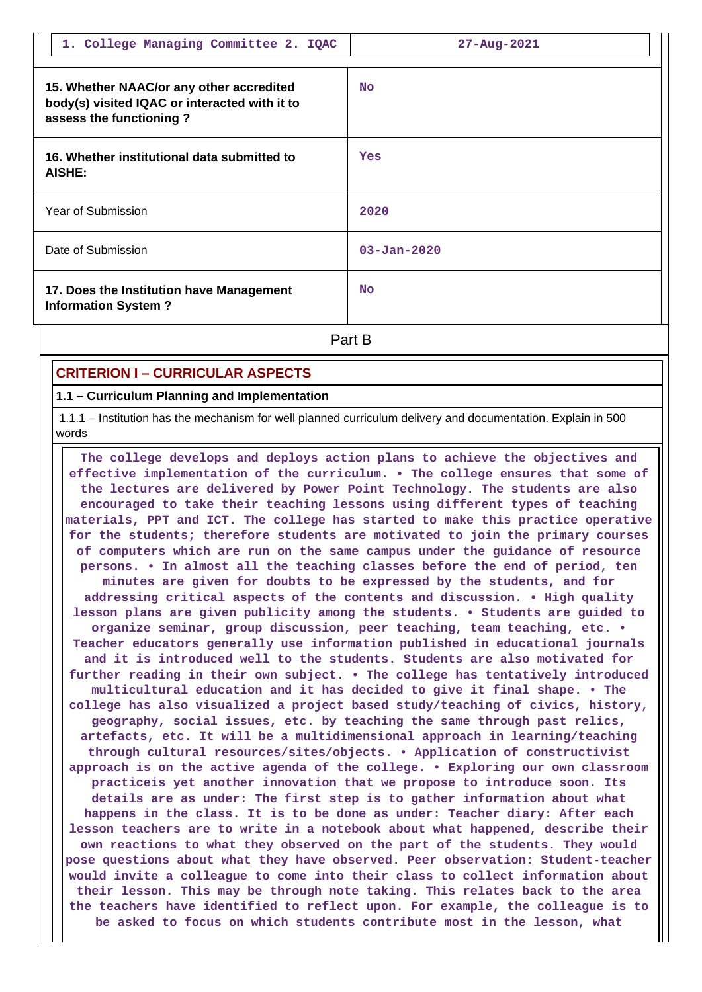| 1. College Managing Committee 2. IQAC                                                                                | $27 - Aug - 2021$ |
|----------------------------------------------------------------------------------------------------------------------|-------------------|
| 15. Whether NAAC/or any other accredited<br>body(s) visited IQAC or interacted with it to<br>assess the functioning? | <b>No</b>         |
| 16. Whether institutional data submitted to<br><b>AISHE:</b>                                                         | Yes               |
| Year of Submission                                                                                                   | 2020              |
| Date of Submission                                                                                                   | $03 - Jan - 2020$ |
| 17. Does the Institution have Management<br><b>Information System?</b>                                               | <b>No</b>         |
|                                                                                                                      | Part B            |

## **CRITERION I – CURRICULAR ASPECTS**

#### **1.1 – Curriculum Planning and Implementation**

 1.1.1 – Institution has the mechanism for well planned curriculum delivery and documentation. Explain in 500 words

 **The college develops and deploys action plans to achieve the objectives and effective implementation of the curriculum. • The college ensures that some of the lectures are delivered by Power Point Technology. The students are also encouraged to take their teaching lessons using different types of teaching materials, PPT and ICT. The college has started to make this practice operative for the students; therefore students are motivated to join the primary courses of computers which are run on the same campus under the guidance of resource persons. • In almost all the teaching classes before the end of period, ten minutes are given for doubts to be expressed by the students, and for addressing critical aspects of the contents and discussion. • High quality lesson plans are given publicity among the students. • Students are guided to organize seminar, group discussion, peer teaching, team teaching, etc. • Teacher educators generally use information published in educational journals and it is introduced well to the students. Students are also motivated for further reading in their own subject. • The college has tentatively introduced multicultural education and it has decided to give it final shape. • The college has also visualized a project based study/teaching of civics, history, geography, social issues, etc. by teaching the same through past relics, artefacts, etc. It will be a multidimensional approach in learning/teaching through cultural resources/sites/objects. • Application of constructivist approach is on the active agenda of the college. • Exploring our own classroom practiceis yet another innovation that we propose to introduce soon. Its details are as under: The first step is to gather information about what happens in the class. It is to be done as under: Teacher diary: After each lesson teachers are to write in a notebook about what happened, describe their own reactions to what they observed on the part of the students. They would pose questions about what they have observed. Peer observation: Student-teacher would invite a colleague to come into their class to collect information about their lesson. This may be through note taking. This relates back to the area the teachers have identified to reflect upon. For example, the colleague is to be asked to focus on which students contribute most in the lesson, what**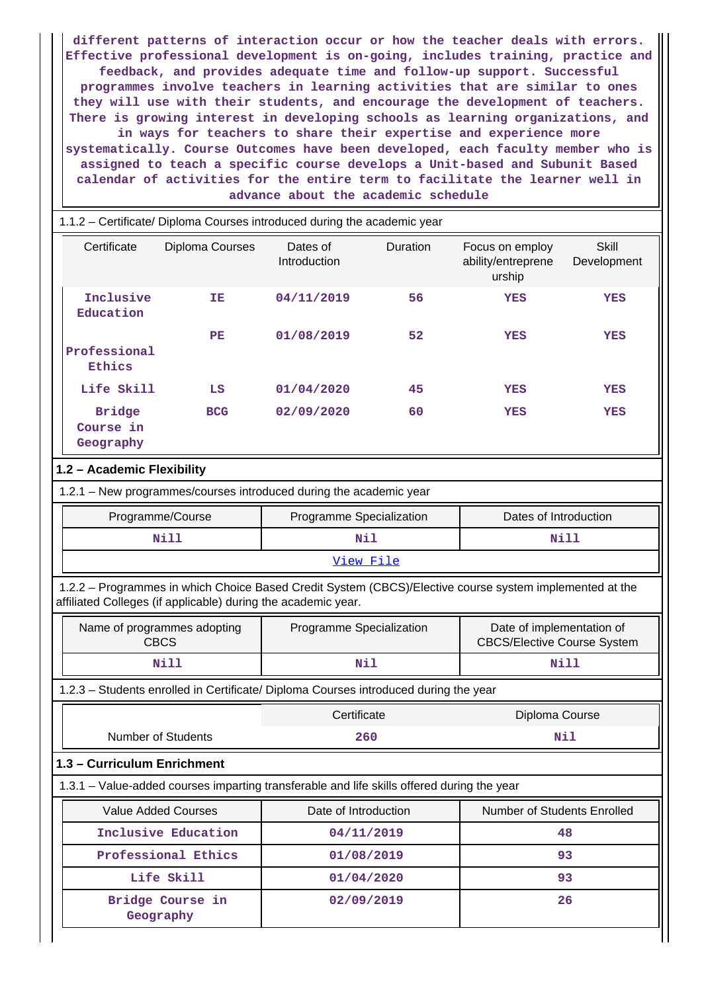**different patterns of interaction occur or how the teacher deals with errors. Effective professional development is on-going, includes training, practice and feedback, and provides adequate time and follow-up support. Successful programmes involve teachers in learning activities that are similar to ones they will use with their students, and encourage the development of teachers. There is growing interest in developing schools as learning organizations, and in ways for teachers to share their expertise and experience more systematically. Course Outcomes have been developed, each faculty member who is assigned to teach a specific course develops a Unit-based and Subunit Based calendar of activities for the entire term to facilitate the learner well in advance about the academic schedule**

| 1.1.2 – Certificate/ Diploma Courses introduced during the academic year |                 |                                 |          |                                                 |                      |  |
|--------------------------------------------------------------------------|-----------------|---------------------------------|----------|-------------------------------------------------|----------------------|--|
| Certificate                                                              | Diploma Courses | Dates of<br><b>Introduction</b> | Duration | Focus on employ<br>ability/entreprene<br>urship | Skill<br>Development |  |
| Inclusive<br>Education                                                   | IΕ              | 04/11/2019                      | 56       | <b>YES</b>                                      | <b>YES</b>           |  |
| Professional<br>Ethics                                                   | PE              | 01/08/2019                      | 52       | <b>YES</b>                                      | YES                  |  |
| Life Skill                                                               | LS              | 01/04/2020                      | 45       | <b>YES</b>                                      | YES                  |  |
| <b>Bridge</b><br>Course in<br>Geography                                  | <b>BCG</b>      | 02/09/2020                      | 60       | <b>YES</b>                                      | <b>YES</b>           |  |
| 1.2 - Academic Flexibility                                               |                 |                                 |          |                                                 |                      |  |

| 1.2.1 - New programmes/courses introduced during the academic year |  |  |
|--------------------------------------------------------------------|--|--|
|                                                                    |  |  |

| Programme/Course | Programme Specialization | Dates of Introduction |  |  |  |  |  |
|------------------|--------------------------|-----------------------|--|--|--|--|--|
| Nill             | Nil                      | Nill                  |  |  |  |  |  |
| View File        |                          |                       |  |  |  |  |  |

 1.2.2 – Programmes in which Choice Based Credit System (CBCS)/Elective course system implemented at the affiliated Colleges (if applicable) during the academic year.

| Name of programmes adopting<br>CBCS | Programme Specialization | Date of implementation of<br><b>CBCS/Elective Course System</b> |
|-------------------------------------|--------------------------|-----------------------------------------------------------------|
| Nill                                | Nil                      | Nill                                                            |

1.2.3 – Students enrolled in Certificate/ Diploma Courses introduced during the year

|                    | Certificate | Diploma Course |  |  |
|--------------------|-------------|----------------|--|--|
| Number of Students | 260         | Nil            |  |  |
|                    |             |                |  |  |

## **1.3 – Curriculum Enrichment**

1.3.1 – Value-added courses imparting transferable and life skills offered during the year

| Value Added Courses           | Date of Introduction | <b>Number of Students Enrolled</b> |  |  |  |
|-------------------------------|----------------------|------------------------------------|--|--|--|
| Inclusive Education           | 04/11/2019           | 48                                 |  |  |  |
| Professional Ethics           | 01/08/2019           | 93                                 |  |  |  |
| Life Skill                    | 01/04/2020           | 93                                 |  |  |  |
| Bridge Course in<br>Geography | 02/09/2019           | 26                                 |  |  |  |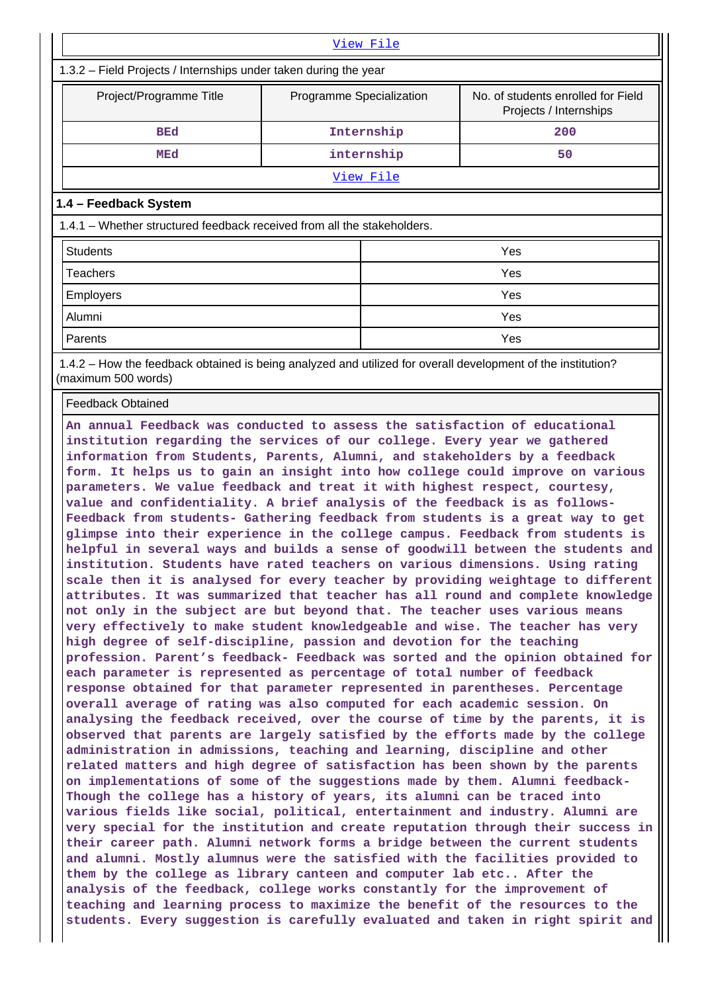| View File                                                                                                           |                  |     |  |  |  |  |  |  |  |
|---------------------------------------------------------------------------------------------------------------------|------------------|-----|--|--|--|--|--|--|--|
| 1.3.2 – Field Projects / Internships under taken during the year                                                    |                  |     |  |  |  |  |  |  |  |
| No. of students enrolled for Field<br>Project/Programme Title<br>Programme Specialization<br>Projects / Internships |                  |     |  |  |  |  |  |  |  |
| <b>BEd</b>                                                                                                          | Internship       | 200 |  |  |  |  |  |  |  |
| MEd                                                                                                                 | internship       | 50  |  |  |  |  |  |  |  |
|                                                                                                                     | <u>View File</u> |     |  |  |  |  |  |  |  |
| 1.4 - Feedback System                                                                                               |                  |     |  |  |  |  |  |  |  |
| 1.4.1 – Whether structured feedback received from all the stakeholders.                                             |                  |     |  |  |  |  |  |  |  |
| <b>Students</b>                                                                                                     |                  | Yes |  |  |  |  |  |  |  |
| Teachers                                                                                                            |                  | Yes |  |  |  |  |  |  |  |
| <b>Employers</b>                                                                                                    |                  | Yes |  |  |  |  |  |  |  |
| Alumni                                                                                                              |                  | Yes |  |  |  |  |  |  |  |
| Parents                                                                                                             |                  | Yes |  |  |  |  |  |  |  |

 1.4.2 – How the feedback obtained is being analyzed and utilized for overall development of the institution? (maximum 500 words)

Feedback Obtained

**An annual Feedback was conducted to assess the satisfaction of educational institution regarding the services of our college. Every year we gathered information from Students, Parents, Alumni, and stakeholders by a feedback form. It helps us to gain an insight into how college could improve on various parameters. We value feedback and treat it with highest respect, courtesy, value and confidentiality. A brief analysis of the feedback is as follows-Feedback from students- Gathering feedback from students is a great way to get glimpse into their experience in the college campus. Feedback from students is helpful in several ways and builds a sense of goodwill between the students and institution. Students have rated teachers on various dimensions. Using rating scale then it is analysed for every teacher by providing weightage to different attributes. It was summarized that teacher has all round and complete knowledge not only in the subject are but beyond that. The teacher uses various means very effectively to make student knowledgeable and wise. The teacher has very high degree of self-discipline, passion and devotion for the teaching profession. Parent's feedback- Feedback was sorted and the opinion obtained for each parameter is represented as percentage of total number of feedback response obtained for that parameter represented in parentheses. Percentage overall average of rating was also computed for each academic session. On analysing the feedback received, over the course of time by the parents, it is observed that parents are largely satisfied by the efforts made by the college administration in admissions, teaching and learning, discipline and other related matters and high degree of satisfaction has been shown by the parents on implementations of some of the suggestions made by them. Alumni feedback-Though the college has a history of years, its alumni can be traced into various fields like social, political, entertainment and industry. Alumni are very special for the institution and create reputation through their success in their career path. Alumni network forms a bridge between the current students and alumni. Mostly alumnus were the satisfied with the facilities provided to them by the college as library canteen and computer lab etc.. After the analysis of the feedback, college works constantly for the improvement of teaching and learning process to maximize the benefit of the resources to the students. Every suggestion is carefully evaluated and taken in right spirit and**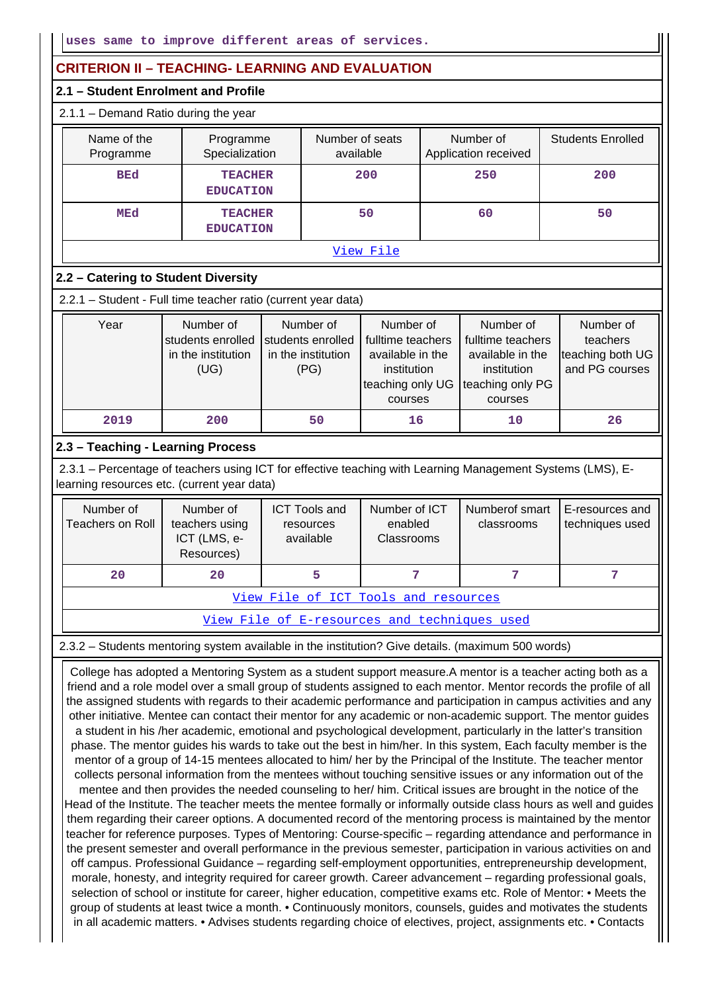# **CRITERION II – TEACHING- LEARNING AND EVALUATION**

### **2.1 – Student Enrolment and Profile**

#### 2.1.1 – Demand Ratio during the year

|  | Name of the<br>Programme | Programme<br>Specialization        | Number of seats<br>available | Number of<br>Application received | <b>Students Enrolled</b> |  |  |  |  |  |
|--|--------------------------|------------------------------------|------------------------------|-----------------------------------|--------------------------|--|--|--|--|--|
|  | <b>BEd</b>               | <b>TEACHER</b><br><b>EDUCATION</b> | 200                          | 250                               | 200                      |  |  |  |  |  |
|  | <b>MEd</b>               | <b>TEACHER</b><br><b>EDUCATION</b> | 50                           | 60                                | 50                       |  |  |  |  |  |
|  |                          |                                    | View File                    |                                   |                          |  |  |  |  |  |

## **2.2 – Catering to Student Diversity**

2.2.1 – Student - Full time teacher ratio (current year data)

| Year | Number of<br>students enrolled<br>in the institution<br>(UG) | Number of<br>students enrolled<br>in the institution<br>(PG) | Number of<br>fulltime teachers<br>available in the<br>institution<br>teaching only UG teaching only PG | Number of<br>fulltime teachers<br>available in the<br>institution | Number of<br>teachers<br>teaching both UG<br>and PG courses |
|------|--------------------------------------------------------------|--------------------------------------------------------------|--------------------------------------------------------------------------------------------------------|-------------------------------------------------------------------|-------------------------------------------------------------|
|      |                                                              |                                                              | courses                                                                                                | courses                                                           |                                                             |
| 2019 | 200                                                          | 50                                                           | 16                                                                                                     | 10                                                                | 26                                                          |

## **2.3 – Teaching - Learning Process**

 2.3.1 – Percentage of teachers using ICT for effective teaching with Learning Management Systems (LMS), Elearning resources etc. (current year data)

| Number of<br>Teachers on Roll        | Number of<br>teachers using<br>ICT (LMS, e-<br>Resources) | <b>ICT Tools and</b><br>resources<br>available | Number of ICT<br>enabled<br>Classrooms | Numberof smart<br>classrooms | I E-resources and<br>techniques used |  |  |  |  |
|--------------------------------------|-----------------------------------------------------------|------------------------------------------------|----------------------------------------|------------------------------|--------------------------------------|--|--|--|--|
| 20<br>20                             |                                                           | 5                                              |                                        |                              |                                      |  |  |  |  |
| View File of ICT Tools and resources |                                                           |                                                |                                        |                              |                                      |  |  |  |  |

View File of E-resources and techniques used

#### 2.3.2 – Students mentoring system available in the institution? Give details. (maximum 500 words)

 College has adopted a Mentoring System as a student support measure.A mentor is a teacher acting both as a friend and a role model over a small group of students assigned to each mentor. Mentor records the profile of all the assigned students with regards to their academic performance and participation in campus activities and any other initiative. Mentee can contact their mentor for any academic or non-academic support. The mentor guides a student in his /her academic, emotional and psychological development, particularly in the latter's transition phase. The mentor guides his wards to take out the best in him/her. In this system, Each faculty member is the mentor of a group of 14-15 mentees allocated to him/ her by the Principal of the Institute. The teacher mentor collects personal information from the mentees without touching sensitive issues or any information out of the mentee and then provides the needed counseling to her/ him. Critical issues are brought in the notice of the Head of the Institute. The teacher meets the mentee formally or informally outside class hours as well and guides them regarding their career options. A documented record of the mentoring process is maintained by the mentor teacher for reference purposes. Types of Mentoring: Course-specific – regarding attendance and performance in the present semester and overall performance in the previous semester, participation in various activities on and off campus. Professional Guidance – regarding self-employment opportunities, entrepreneurship development, morale, honesty, and integrity required for career growth. Career advancement – regarding professional goals, selection of school or institute for career, higher education, competitive exams etc. Role of Mentor: • Meets the group of students at least twice a month. • Continuously monitors, counsels, guides and motivates the students in all academic matters. • Advises students regarding choice of electives, project, assignments etc. • Contacts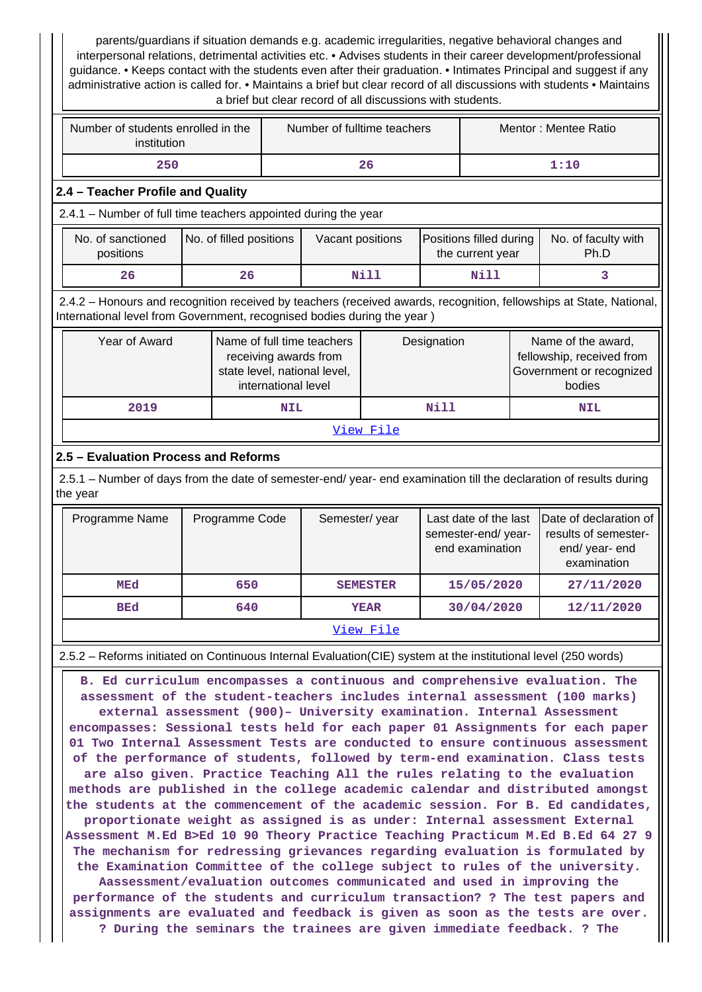| parents/guardians if situation demands e.g. academic irregularities, negative behavioral changes and<br>interpersonal relations, detrimental activities etc. • Advises students in their career development/professional<br>guidance. • Keeps contact with the students even after their graduation. • Intimates Principal and suggest if any<br>administrative action is called for. • Maintains a brief but clear record of all discussions with students • Maintains<br>a brief but clear record of all discussions with students.                                                                                                                                                                                                                                                                                                                                                                                                                                                                                                                                                                                                                                                                                                                                                                                                                                                                                                                                                                                   |                         |                     |                                                                                     |                 |             |                                                                |  |                                                                                       |  |
|-------------------------------------------------------------------------------------------------------------------------------------------------------------------------------------------------------------------------------------------------------------------------------------------------------------------------------------------------------------------------------------------------------------------------------------------------------------------------------------------------------------------------------------------------------------------------------------------------------------------------------------------------------------------------------------------------------------------------------------------------------------------------------------------------------------------------------------------------------------------------------------------------------------------------------------------------------------------------------------------------------------------------------------------------------------------------------------------------------------------------------------------------------------------------------------------------------------------------------------------------------------------------------------------------------------------------------------------------------------------------------------------------------------------------------------------------------------------------------------------------------------------------|-------------------------|---------------------|-------------------------------------------------------------------------------------|-----------------|-------------|----------------------------------------------------------------|--|---------------------------------------------------------------------------------------|--|
| Number of students enrolled in the<br>Number of fulltime teachers<br>Mentor: Mentee Ratio<br>institution                                                                                                                                                                                                                                                                                                                                                                                                                                                                                                                                                                                                                                                                                                                                                                                                                                                                                                                                                                                                                                                                                                                                                                                                                                                                                                                                                                                                                |                         |                     |                                                                                     |                 |             |                                                                |  |                                                                                       |  |
| 250                                                                                                                                                                                                                                                                                                                                                                                                                                                                                                                                                                                                                                                                                                                                                                                                                                                                                                                                                                                                                                                                                                                                                                                                                                                                                                                                                                                                                                                                                                                     |                         |                     |                                                                                     | 26              |             |                                                                |  | 1:10                                                                                  |  |
| 2.4 - Teacher Profile and Quality                                                                                                                                                                                                                                                                                                                                                                                                                                                                                                                                                                                                                                                                                                                                                                                                                                                                                                                                                                                                                                                                                                                                                                                                                                                                                                                                                                                                                                                                                       |                         |                     |                                                                                     |                 |             |                                                                |  |                                                                                       |  |
| 2.4.1 - Number of full time teachers appointed during the year                                                                                                                                                                                                                                                                                                                                                                                                                                                                                                                                                                                                                                                                                                                                                                                                                                                                                                                                                                                                                                                                                                                                                                                                                                                                                                                                                                                                                                                          |                         |                     |                                                                                     |                 |             |                                                                |  |                                                                                       |  |
| No. of sanctioned<br>positions                                                                                                                                                                                                                                                                                                                                                                                                                                                                                                                                                                                                                                                                                                                                                                                                                                                                                                                                                                                                                                                                                                                                                                                                                                                                                                                                                                                                                                                                                          | No. of filled positions |                     | Vacant positions                                                                    |                 |             | Positions filled during<br>the current year                    |  | No. of faculty with<br>Ph.D                                                           |  |
| 26                                                                                                                                                                                                                                                                                                                                                                                                                                                                                                                                                                                                                                                                                                                                                                                                                                                                                                                                                                                                                                                                                                                                                                                                                                                                                                                                                                                                                                                                                                                      | 26                      |                     |                                                                                     | Nill            |             | Nill                                                           |  | 3.                                                                                    |  |
| 2.4.2 - Honours and recognition received by teachers (received awards, recognition, fellowships at State, National,<br>International level from Government, recognised bodies during the year)                                                                                                                                                                                                                                                                                                                                                                                                                                                                                                                                                                                                                                                                                                                                                                                                                                                                                                                                                                                                                                                                                                                                                                                                                                                                                                                          |                         |                     |                                                                                     |                 |             |                                                                |  |                                                                                       |  |
| Year of Award                                                                                                                                                                                                                                                                                                                                                                                                                                                                                                                                                                                                                                                                                                                                                                                                                                                                                                                                                                                                                                                                                                                                                                                                                                                                                                                                                                                                                                                                                                           |                         | international level | Name of full time teachers<br>receiving awards from<br>state level, national level, |                 | Designation |                                                                |  | Name of the award,<br>fellowship, received from<br>Government or recognized<br>bodies |  |
| 2019                                                                                                                                                                                                                                                                                                                                                                                                                                                                                                                                                                                                                                                                                                                                                                                                                                                                                                                                                                                                                                                                                                                                                                                                                                                                                                                                                                                                                                                                                                                    |                         | <b>NIL</b>          |                                                                                     |                 | Nill        |                                                                |  | <b>NIL</b>                                                                            |  |
|                                                                                                                                                                                                                                                                                                                                                                                                                                                                                                                                                                                                                                                                                                                                                                                                                                                                                                                                                                                                                                                                                                                                                                                                                                                                                                                                                                                                                                                                                                                         |                         |                     |                                                                                     | View File       |             |                                                                |  |                                                                                       |  |
| 2.5 - Evaluation Process and Reforms                                                                                                                                                                                                                                                                                                                                                                                                                                                                                                                                                                                                                                                                                                                                                                                                                                                                                                                                                                                                                                                                                                                                                                                                                                                                                                                                                                                                                                                                                    |                         |                     |                                                                                     |                 |             |                                                                |  |                                                                                       |  |
| 2.5.1 - Number of days from the date of semester-end/ year- end examination till the declaration of results during<br>the year                                                                                                                                                                                                                                                                                                                                                                                                                                                                                                                                                                                                                                                                                                                                                                                                                                                                                                                                                                                                                                                                                                                                                                                                                                                                                                                                                                                          |                         |                     |                                                                                     |                 |             |                                                                |  |                                                                                       |  |
| Programme Name                                                                                                                                                                                                                                                                                                                                                                                                                                                                                                                                                                                                                                                                                                                                                                                                                                                                                                                                                                                                                                                                                                                                                                                                                                                                                                                                                                                                                                                                                                          | Programme Code          |                     | Semester/year                                                                       |                 |             | Last date of the last<br>semester-end/year-<br>end examination |  | Date of declaration of<br>results of semester-<br>end/ year- end<br>examination       |  |
| MEd                                                                                                                                                                                                                                                                                                                                                                                                                                                                                                                                                                                                                                                                                                                                                                                                                                                                                                                                                                                                                                                                                                                                                                                                                                                                                                                                                                                                                                                                                                                     | 650                     |                     |                                                                                     | <b>SEMESTER</b> |             | 15/05/2020                                                     |  | 27/11/2020                                                                            |  |
| BEd                                                                                                                                                                                                                                                                                                                                                                                                                                                                                                                                                                                                                                                                                                                                                                                                                                                                                                                                                                                                                                                                                                                                                                                                                                                                                                                                                                                                                                                                                                                     | 640                     |                     |                                                                                     | <b>YEAR</b>     |             | 30/04/2020                                                     |  | 12/11/2020                                                                            |  |
|                                                                                                                                                                                                                                                                                                                                                                                                                                                                                                                                                                                                                                                                                                                                                                                                                                                                                                                                                                                                                                                                                                                                                                                                                                                                                                                                                                                                                                                                                                                         |                         |                     |                                                                                     | View File       |             |                                                                |  |                                                                                       |  |
|                                                                                                                                                                                                                                                                                                                                                                                                                                                                                                                                                                                                                                                                                                                                                                                                                                                                                                                                                                                                                                                                                                                                                                                                                                                                                                                                                                                                                                                                                                                         |                         |                     |                                                                                     |                 |             |                                                                |  |                                                                                       |  |
| 2.5.2 - Reforms initiated on Continuous Internal Evaluation(CIE) system at the institutional level (250 words)<br>B. Ed curriculum encompasses a continuous and comprehensive evaluation. The<br>assessment of the student-teachers includes internal assessment (100 marks)<br>external assessment (900)- University examination. Internal Assessment<br>encompasses: Sessional tests held for each paper 01 Assignments for each paper<br>01 Two Internal Assessment Tests are conducted to ensure continuous assessment<br>of the performance of students, followed by term-end examination. Class tests<br>are also given. Practice Teaching All the rules relating to the evaluation<br>methods are published in the college academic calendar and distributed amongst<br>the students at the commencement of the academic session. For B. Ed candidates,<br>proportionate weight as assigned is as under: Internal assessment External<br>Assessment M.Ed B>Ed 10 90 Theory Practice Teaching Practicum M.Ed B.Ed 64 27 9<br>The mechanism for redressing grievances regarding evaluation is formulated by<br>the Examination Committee of the college subject to rules of the university.<br>Aassessment/evaluation outcomes communicated and used in improving the<br>performance of the students and curriculum transaction? ? The test papers and<br>assignments are evaluated and feedback is given as soon as the tests are over.<br>? During the seminars the trainees are given immediate feedback. ? The |                         |                     |                                                                                     |                 |             |                                                                |  |                                                                                       |  |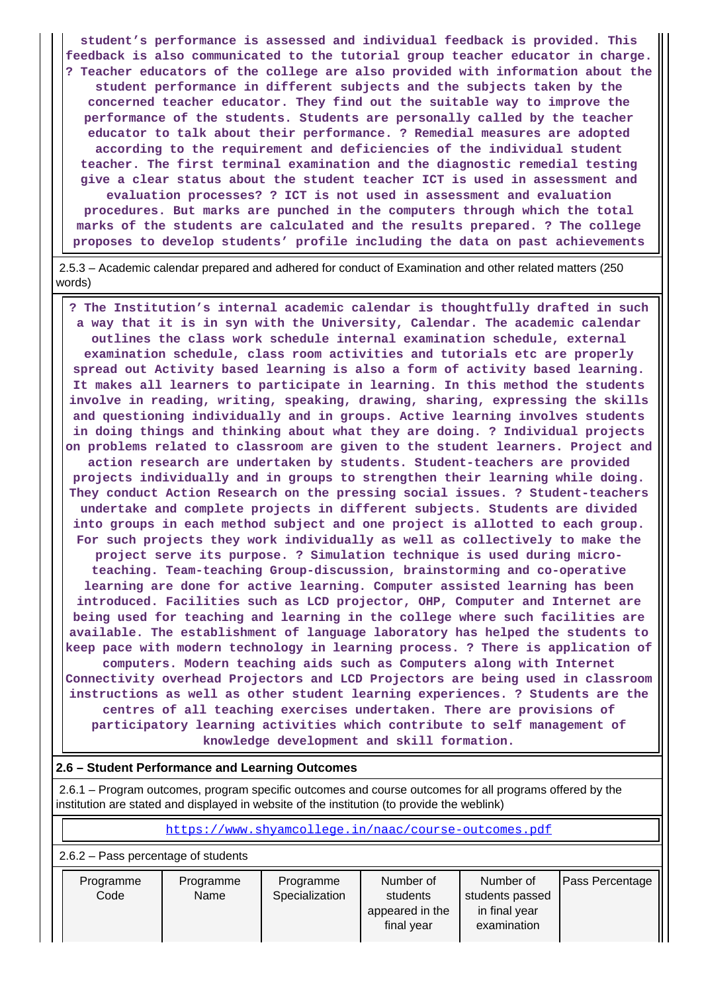**student's performance is assessed and individual feedback is provided. This feedback is also communicated to the tutorial group teacher educator in charge. ? Teacher educators of the college are also provided with information about the student performance in different subjects and the subjects taken by the concerned teacher educator. They find out the suitable way to improve the performance of the students. Students are personally called by the teacher educator to talk about their performance. ? Remedial measures are adopted according to the requirement and deficiencies of the individual student teacher. The first terminal examination and the diagnostic remedial testing give a clear status about the student teacher ICT is used in assessment and evaluation processes? ? ICT is not used in assessment and evaluation procedures. But marks are punched in the computers through which the total marks of the students are calculated and the results prepared. ? The college proposes to develop students' profile including the data on past achievements**

 2.5.3 – Academic calendar prepared and adhered for conduct of Examination and other related matters (250 words)

 **? The Institution's internal academic calendar is thoughtfully drafted in such a way that it is in syn with the University, Calendar. The academic calendar outlines the class work schedule internal examination schedule, external examination schedule, class room activities and tutorials etc are properly spread out Activity based learning is also a form of activity based learning. It makes all learners to participate in learning. In this method the students involve in reading, writing, speaking, drawing, sharing, expressing the skills and questioning individually and in groups. Active learning involves students in doing things and thinking about what they are doing. ? Individual projects on problems related to classroom are given to the student learners. Project and action research are undertaken by students. Student-teachers are provided projects individually and in groups to strengthen their learning while doing. They conduct Action Research on the pressing social issues. ? Student-teachers undertake and complete projects in different subjects. Students are divided into groups in each method subject and one project is allotted to each group. For such projects they work individually as well as collectively to make the project serve its purpose. ? Simulation technique is used during microteaching. Team-teaching Group-discussion, brainstorming and co-operative learning are done for active learning. Computer assisted learning has been introduced. Facilities such as LCD projector, OHP, Computer and Internet are being used for teaching and learning in the college where such facilities are available. The establishment of language laboratory has helped the students to keep pace with modern technology in learning process. ? There is application of computers. Modern teaching aids such as Computers along with Internet Connectivity overhead Projectors and LCD Projectors are being used in classroom instructions as well as other student learning experiences. ? Students are the centres of all teaching exercises undertaken. There are provisions of participatory learning activities which contribute to self management of knowledge development and skill formation.**

#### **2.6 – Student Performance and Learning Outcomes**

 2.6.1 – Program outcomes, program specific outcomes and course outcomes for all programs offered by the institution are stated and displayed in website of the institution (to provide the weblink)

https://www.shyamcollege.in/naac/course-outcomes.pdf

2.6.2 – Pass percentage of students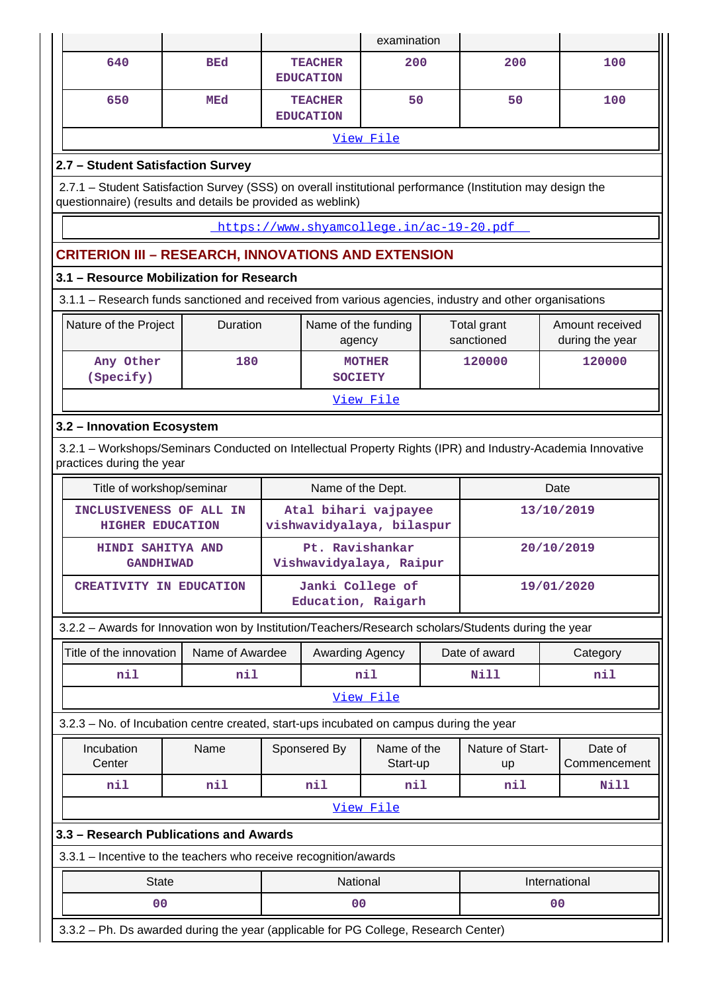|                                                                                                                                                                           |                 |                                        |                                                   | examination             |            |                           |                |                                    |  |  |
|---------------------------------------------------------------------------------------------------------------------------------------------------------------------------|-----------------|----------------------------------------|---------------------------------------------------|-------------------------|------------|---------------------------|----------------|------------------------------------|--|--|
| 640                                                                                                                                                                       | <b>BEd</b>      |                                        | <b>TEACHER</b><br><b>EDUCATION</b>                | 200                     |            | 200                       |                | 100                                |  |  |
| 650                                                                                                                                                                       | <b>MEd</b>      |                                        | <b>TEACHER</b><br><b>EDUCATION</b>                | 50                      |            | 50                        |                | 100                                |  |  |
|                                                                                                                                                                           |                 |                                        |                                                   | View File               |            |                           |                |                                    |  |  |
| 2.7 - Student Satisfaction Survey                                                                                                                                         |                 |                                        |                                                   |                         |            |                           |                |                                    |  |  |
| 2.7.1 - Student Satisfaction Survey (SSS) on overall institutional performance (Institution may design the<br>questionnaire) (results and details be provided as weblink) |                 |                                        |                                                   |                         |            |                           |                |                                    |  |  |
| https://www.shyamcollege.in/ac-19-20.pdf                                                                                                                                  |                 |                                        |                                                   |                         |            |                           |                |                                    |  |  |
| <b>CRITERION III - RESEARCH, INNOVATIONS AND EXTENSION</b>                                                                                                                |                 |                                        |                                                   |                         |            |                           |                |                                    |  |  |
| 3.1 - Resource Mobilization for Research                                                                                                                                  |                 |                                        |                                                   |                         |            |                           |                |                                    |  |  |
| 3.1.1 – Research funds sanctioned and received from various agencies, industry and other organisations                                                                    |                 |                                        |                                                   |                         |            |                           |                |                                    |  |  |
| Nature of the Project                                                                                                                                                     | Duration        |                                        | Name of the funding<br>agency                     |                         |            | Total grant<br>sanctioned |                | Amount received<br>during the year |  |  |
| Any Other<br>(Specify)                                                                                                                                                    | 180             |                                        | <b>SOCIETY</b>                                    | <b>MOTHER</b>           |            | 120000                    |                | 120000                             |  |  |
| View File                                                                                                                                                                 |                 |                                        |                                                   |                         |            |                           |                |                                    |  |  |
| 3.2 - Innovation Ecosystem                                                                                                                                                |                 |                                        |                                                   |                         |            |                           |                |                                    |  |  |
| 3.2.1 - Workshops/Seminars Conducted on Intellectual Property Rights (IPR) and Industry-Academia Innovative<br>practices during the year                                  |                 |                                        |                                                   |                         |            |                           |                |                                    |  |  |
| Title of workshop/seminar                                                                                                                                                 |                 |                                        | Name of the Dept.                                 |                         |            |                           | Date           |                                    |  |  |
| INCLUSIVENESS OF ALL IN<br><b>HIGHER EDUCATION</b>                                                                                                                        |                 |                                        | Atal bihari vajpayee<br>vishwavidyalaya, bilaspur |                         |            |                           |                | 13/10/2019                         |  |  |
| HINDI SAHITYA AND<br><b>GANDHIWAD</b>                                                                                                                                     |                 |                                        | Pt. Ravishankar<br>Vishwavidyalaya, Raipur        |                         |            | 20/10/2019                |                |                                    |  |  |
| <b>CREATIVITY IN EDUCATION</b>                                                                                                                                            |                 | Janki College of<br>Education, Raigarh |                                                   |                         | 19/01/2020 |                           |                |                                    |  |  |
| 3.2.2 - Awards for Innovation won by Institution/Teachers/Research scholars/Students during the year                                                                      |                 |                                        |                                                   |                         |            |                           |                |                                    |  |  |
| Title of the innovation                                                                                                                                                   | Name of Awardee |                                        | Awarding Agency                                   |                         |            | Date of award             |                | Category                           |  |  |
| nil                                                                                                                                                                       | nil             |                                        |                                                   | nil                     |            | Nill                      |                | nil                                |  |  |
|                                                                                                                                                                           |                 |                                        |                                                   | View File               |            |                           |                |                                    |  |  |
| 3.2.3 - No. of Incubation centre created, start-ups incubated on campus during the year                                                                                   |                 |                                        |                                                   |                         |            |                           |                |                                    |  |  |
| Incubation<br>Center                                                                                                                                                      | Name            |                                        | Sponsered By                                      | Name of the<br>Start-up |            | Nature of Start-<br>up    |                | Date of<br>Commencement            |  |  |
| nil                                                                                                                                                                       | nil             |                                        | nil                                               | nil                     |            | nil                       |                | Nill                               |  |  |
|                                                                                                                                                                           |                 |                                        |                                                   | View File               |            |                           |                |                                    |  |  |
| 3.3 - Research Publications and Awards                                                                                                                                    |                 |                                        |                                                   |                         |            |                           |                |                                    |  |  |
| 3.3.1 - Incentive to the teachers who receive recognition/awards                                                                                                          |                 |                                        |                                                   |                         |            |                           |                |                                    |  |  |
| <b>State</b>                                                                                                                                                              |                 |                                        | National                                          |                         |            |                           |                | International                      |  |  |
| 0 <sub>0</sub>                                                                                                                                                            |                 |                                        | 00                                                |                         |            |                           | 0 <sub>0</sub> |                                    |  |  |
| 3.3.2 - Ph. Ds awarded during the year (applicable for PG College, Research Center)                                                                                       |                 |                                        |                                                   |                         |            |                           |                |                                    |  |  |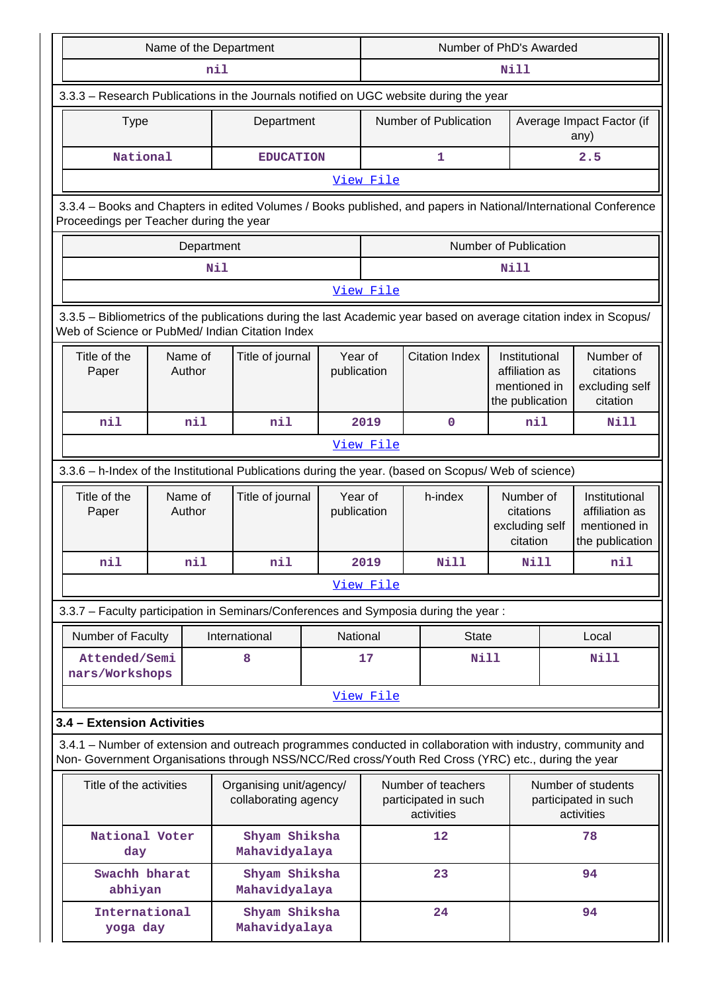|                                                                                       |                                                                                                                                                                       |                   | Name of the Department                                                                                                                                                                                             |  | Number of PhD's Awarded |                                                          |                                                                    |                                   |                                                                    |
|---------------------------------------------------------------------------------------|-----------------------------------------------------------------------------------------------------------------------------------------------------------------------|-------------------|--------------------------------------------------------------------------------------------------------------------------------------------------------------------------------------------------------------------|--|-------------------------|----------------------------------------------------------|--------------------------------------------------------------------|-----------------------------------|--------------------------------------------------------------------|
|                                                                                       |                                                                                                                                                                       |                   | nil                                                                                                                                                                                                                |  | <b>Nill</b>             |                                                          |                                                                    |                                   |                                                                    |
| 3.3.3 - Research Publications in the Journals notified on UGC website during the year |                                                                                                                                                                       |                   |                                                                                                                                                                                                                    |  |                         |                                                          |                                                                    |                                   |                                                                    |
|                                                                                       | Department<br><b>Type</b>                                                                                                                                             |                   |                                                                                                                                                                                                                    |  |                         | Number of Publication                                    |                                                                    | Average Impact Factor (if<br>any) |                                                                    |
|                                                                                       | National                                                                                                                                                              |                   | <b>EDUCATION</b>                                                                                                                                                                                                   |  |                         | 1                                                        |                                                                    |                                   | 2.5                                                                |
|                                                                                       |                                                                                                                                                                       |                   |                                                                                                                                                                                                                    |  | View File               |                                                          |                                                                    |                                   |                                                                    |
|                                                                                       | 3.3.4 - Books and Chapters in edited Volumes / Books published, and papers in National/International Conference<br>Proceedings per Teacher during the year            |                   |                                                                                                                                                                                                                    |  |                         |                                                          |                                                                    |                                   |                                                                    |
|                                                                                       |                                                                                                                                                                       | Department        |                                                                                                                                                                                                                    |  |                         |                                                          | Number of Publication                                              |                                   |                                                                    |
|                                                                                       |                                                                                                                                                                       |                   | Nil                                                                                                                                                                                                                |  |                         |                                                          | Nill                                                               |                                   |                                                                    |
|                                                                                       |                                                                                                                                                                       |                   |                                                                                                                                                                                                                    |  | View File               |                                                          |                                                                    |                                   |                                                                    |
|                                                                                       | 3.3.5 - Bibliometrics of the publications during the last Academic year based on average citation index in Scopus/<br>Web of Science or PubMed/ Indian Citation Index |                   |                                                                                                                                                                                                                    |  |                         |                                                          |                                                                    |                                   |                                                                    |
| Title of the<br>Paper                                                                 |                                                                                                                                                                       | Name of<br>Author | Title of journal                                                                                                                                                                                                   |  | Year of<br>publication  | <b>Citation Index</b>                                    | Institutional<br>affiliation as<br>mentioned in<br>the publication |                                   | Number of<br>citations<br>excluding self<br>citation               |
| nil                                                                                   |                                                                                                                                                                       | nil               | nil                                                                                                                                                                                                                |  | 2019                    | $\mathbf 0$                                              | nil                                                                |                                   | Nill                                                               |
|                                                                                       |                                                                                                                                                                       |                   |                                                                                                                                                                                                                    |  | View File               |                                                          |                                                                    |                                   |                                                                    |
|                                                                                       |                                                                                                                                                                       |                   | 3.3.6 - h-Index of the Institutional Publications during the year. (based on Scopus/ Web of science)                                                                                                               |  |                         |                                                          |                                                                    |                                   |                                                                    |
| Title of the<br>Paper                                                                 |                                                                                                                                                                       | Name of<br>Author | Title of journal                                                                                                                                                                                                   |  | Year of<br>publication  | h-index                                                  | Number of<br>citations<br>excluding self<br>citation               |                                   | Institutional<br>affiliation as<br>mentioned in<br>the publication |
| nil                                                                                   |                                                                                                                                                                       | nil               | nil                                                                                                                                                                                                                |  | 2019                    | Nill                                                     | Nill                                                               |                                   | nil                                                                |
|                                                                                       |                                                                                                                                                                       |                   |                                                                                                                                                                                                                    |  | View File               |                                                          |                                                                    |                                   |                                                                    |
|                                                                                       |                                                                                                                                                                       |                   | 3.3.7 - Faculty participation in Seminars/Conferences and Symposia during the year:                                                                                                                                |  |                         |                                                          |                                                                    |                                   |                                                                    |
| Number of Faculty                                                                     |                                                                                                                                                                       |                   | International                                                                                                                                                                                                      |  | National                | <b>State</b>                                             |                                                                    |                                   | Local                                                              |
| nars/Workshops                                                                        | Attended/Semi                                                                                                                                                         |                   | 8                                                                                                                                                                                                                  |  | 17                      | <b>Nill</b>                                              |                                                                    |                                   | <b>Nill</b>                                                        |
|                                                                                       |                                                                                                                                                                       |                   |                                                                                                                                                                                                                    |  | View File               |                                                          |                                                                    |                                   |                                                                    |
| 3.4 - Extension Activities                                                            |                                                                                                                                                                       |                   |                                                                                                                                                                                                                    |  |                         |                                                          |                                                                    |                                   |                                                                    |
|                                                                                       |                                                                                                                                                                       |                   | 3.4.1 – Number of extension and outreach programmes conducted in collaboration with industry, community and<br>Non- Government Organisations through NSS/NCC/Red cross/Youth Red Cross (YRC) etc., during the year |  |                         |                                                          |                                                                    |                                   |                                                                    |
|                                                                                       | Title of the activities<br>Organising unit/agency/<br>collaborating agency                                                                                            |                   |                                                                                                                                                                                                                    |  |                         | Number of teachers<br>participated in such<br>activities |                                                                    |                                   | Number of students<br>participated in such<br>activities           |
|                                                                                       | National Voter<br>day                                                                                                                                                 |                   | Shyam Shiksha<br>Mahavidyalaya                                                                                                                                                                                     |  |                         | 12                                                       |                                                                    |                                   | 78                                                                 |
|                                                                                       | Swachh bharat<br>abhiyan                                                                                                                                              |                   | Shyam Shiksha<br>Mahavidyalaya                                                                                                                                                                                     |  |                         | 23                                                       |                                                                    |                                   | 94                                                                 |
|                                                                                       | International<br>yoga day                                                                                                                                             |                   | Shyam Shiksha<br>Mahavidyalaya                                                                                                                                                                                     |  |                         | 24                                                       |                                                                    |                                   | 94                                                                 |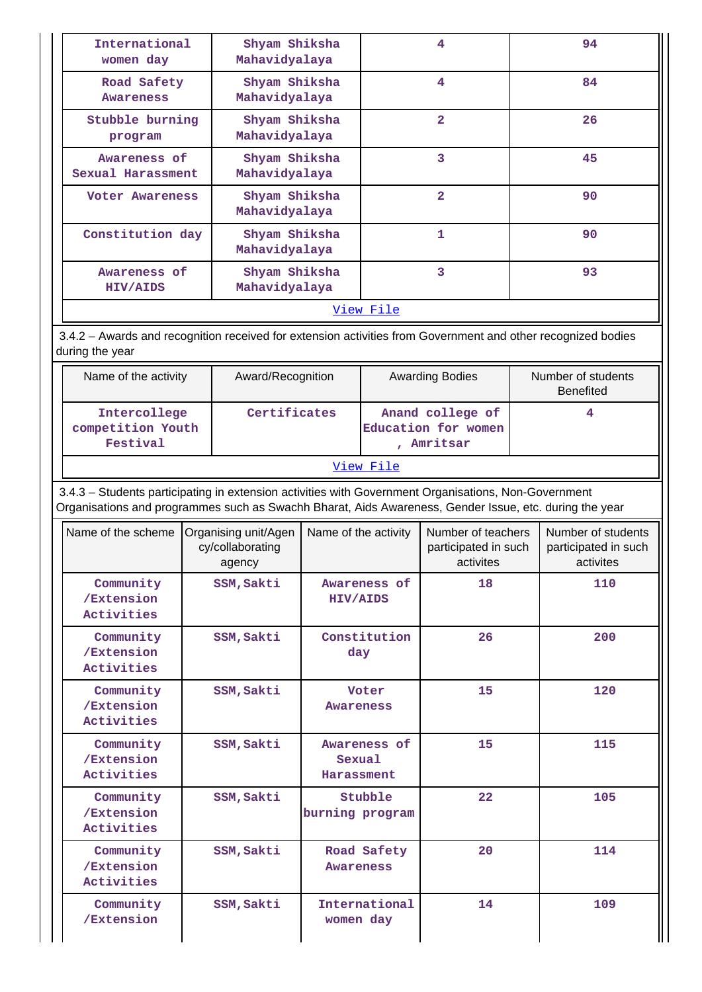| International<br>women day                                                                                                                                                                                     |                                                                                                              | Shyam Shiksha<br>Mahavidyalaya                     |                        |                                                       | 4                                                       |   | 94                                                      |  |  |
|----------------------------------------------------------------------------------------------------------------------------------------------------------------------------------------------------------------|--------------------------------------------------------------------------------------------------------------|----------------------------------------------------|------------------------|-------------------------------------------------------|---------------------------------------------------------|---|---------------------------------------------------------|--|--|
| Road Safety<br><b>Awareness</b>                                                                                                                                                                                |                                                                                                              | Shyam Shiksha<br>Mahavidyalaya                     |                        |                                                       | $\overline{4}$                                          |   | 84                                                      |  |  |
| Stubble burning<br>program                                                                                                                                                                                     |                                                                                                              | Shyam Shiksha<br>Mahavidyalaya                     |                        |                                                       | $\overline{\mathbf{2}}$                                 |   | 26                                                      |  |  |
| Awareness of<br>Sexual Harassment                                                                                                                                                                              |                                                                                                              | Shyam Shiksha<br>Mahavidyalaya                     |                        |                                                       | 3                                                       |   | 45                                                      |  |  |
|                                                                                                                                                                                                                | Shyam Shiksha<br>Voter Awareness<br>Mahavidyalaya                                                            |                                                    |                        |                                                       | $\overline{2}$                                          |   | 90                                                      |  |  |
|                                                                                                                                                                                                                | Constitution day<br>Shyam Shiksha<br>Mahavidyalaya                                                           |                                                    |                        |                                                       | $\mathbf{1}$                                            |   | 90                                                      |  |  |
| HIV/AIDS                                                                                                                                                                                                       | Shyam Shiksha<br>Awareness of<br>Mahavidyalaya                                                               |                                                    |                        |                                                       | 3                                                       |   | 93                                                      |  |  |
|                                                                                                                                                                                                                |                                                                                                              |                                                    |                        | View File                                             |                                                         |   |                                                         |  |  |
| during the year                                                                                                                                                                                                | 3.4.2 - Awards and recognition received for extension activities from Government and other recognized bodies |                                                    |                        |                                                       |                                                         |   |                                                         |  |  |
| Name of the activity                                                                                                                                                                                           | Award/Recognition                                                                                            |                                                    | <b>Awarding Bodies</b> |                                                       | Number of students<br><b>Benefited</b>                  |   |                                                         |  |  |
| Intercollege<br>competition Youth<br>Festival                                                                                                                                                                  | Certificates                                                                                                 |                                                    |                        | Anand college of<br>Education for women<br>, Amritsar |                                                         | 4 |                                                         |  |  |
|                                                                                                                                                                                                                |                                                                                                              |                                                    |                        | View File                                             |                                                         |   |                                                         |  |  |
| 3.4.3 - Students participating in extension activities with Government Organisations, Non-Government<br>Organisations and programmes such as Swachh Bharat, Aids Awareness, Gender Issue, etc. during the year |                                                                                                              |                                                    |                        |                                                       |                                                         |   |                                                         |  |  |
| Name of the scheme                                                                                                                                                                                             |                                                                                                              | Organising unit/Agen<br>cy/collaborating<br>agency | Name of the activity   |                                                       | Number of teachers<br>participated in such<br>activites |   | Number of students<br>participated in such<br>activites |  |  |
| Community<br>/Extension<br>Activities                                                                                                                                                                          |                                                                                                              | SSM, Sakti                                         | <b>HIV/AIDS</b>        | Awareness of                                          | 18                                                      |   | 110                                                     |  |  |
| Community<br>/Extension<br>Activities                                                                                                                                                                          |                                                                                                              | SSM, Sakti                                         | day                    | Constitution                                          | 26                                                      |   | 200                                                     |  |  |
| Community<br>/Extension<br>Activities                                                                                                                                                                          |                                                                                                              | SSM, Sakti                                         | Awareness              | Voter                                                 | 15                                                      |   | 120                                                     |  |  |
| Community<br>/Extension<br>Activities                                                                                                                                                                          |                                                                                                              | SSM, Sakti                                         | Sexual<br>Harassment   | Awareness of                                          | 15                                                      |   | 115                                                     |  |  |
| Community<br>/Extension<br>Activities                                                                                                                                                                          |                                                                                                              | SSM, Sakti                                         | burning program        | Stubble                                               | 22                                                      |   | 105                                                     |  |  |
| Community<br>/Extension<br>Activities                                                                                                                                                                          |                                                                                                              | SSM, Sakti                                         | Awareness              | Road Safety                                           | 20                                                      |   | 114                                                     |  |  |
| Community<br>/Extension                                                                                                                                                                                        |                                                                                                              | SSM, Sakti                                         | women day              | International<br>14                                   |                                                         |   | 109                                                     |  |  |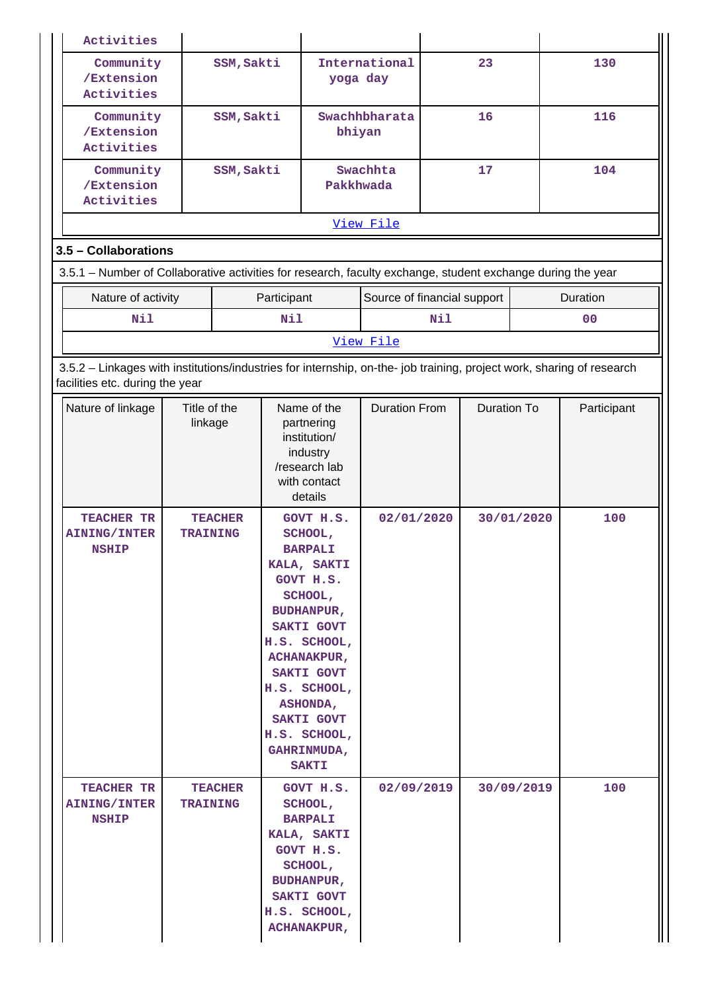|                                                                                                             | Activities                                                                                                                                               |                                                                              |                                                                                                                                                                        |                                                                                                                |                                                                                                                                                                                                                                         |                                    |                    |            |                |                    |  |  |
|-------------------------------------------------------------------------------------------------------------|----------------------------------------------------------------------------------------------------------------------------------------------------------|------------------------------------------------------------------------------|------------------------------------------------------------------------------------------------------------------------------------------------------------------------|----------------------------------------------------------------------------------------------------------------|-----------------------------------------------------------------------------------------------------------------------------------------------------------------------------------------------------------------------------------------|------------------------------------|--------------------|------------|----------------|--------------------|--|--|
|                                                                                                             | Community<br>/Extension<br>Activities                                                                                                                    |                                                                              | SSM, Sakti                                                                                                                                                             |                                                                                                                | yoga day                                                                                                                                                                                                                                | International                      |                    | 23         |                | 130                |  |  |
|                                                                                                             | Community<br>/Extension<br>Activities                                                                                                                    |                                                                              | SSM, Sakti                                                                                                                                                             |                                                                                                                | bhiyan                                                                                                                                                                                                                                  | Swachhbharata                      | 16                 |            |                | 116                |  |  |
|                                                                                                             | Community<br>/Extension<br>Activities                                                                                                                    |                                                                              | SSM, Sakti                                                                                                                                                             |                                                                                                                | Pakkhwada                                                                                                                                                                                                                               | Swachhta                           |                    | 17         |                | 104                |  |  |
|                                                                                                             |                                                                                                                                                          |                                                                              |                                                                                                                                                                        | View File                                                                                                      |                                                                                                                                                                                                                                         |                                    |                    |            |                |                    |  |  |
|                                                                                                             | 3.5 - Collaborations                                                                                                                                     |                                                                              |                                                                                                                                                                        |                                                                                                                |                                                                                                                                                                                                                                         |                                    |                    |            |                |                    |  |  |
| 3.5.1 – Number of Collaborative activities for research, faculty exchange, student exchange during the year |                                                                                                                                                          |                                                                              |                                                                                                                                                                        |                                                                                                                |                                                                                                                                                                                                                                         |                                    |                    |            |                |                    |  |  |
|                                                                                                             | Nature of activity                                                                                                                                       |                                                                              |                                                                                                                                                                        | Participant                                                                                                    |                                                                                                                                                                                                                                         | Source of financial support        |                    |            |                | Duration           |  |  |
|                                                                                                             | Nil                                                                                                                                                      |                                                                              |                                                                                                                                                                        | Nil                                                                                                            |                                                                                                                                                                                                                                         | <b>Nil</b>                         |                    |            | 0 <sup>0</sup> |                    |  |  |
|                                                                                                             |                                                                                                                                                          |                                                                              |                                                                                                                                                                        |                                                                                                                |                                                                                                                                                                                                                                         | View File                          |                    |            |                |                    |  |  |
|                                                                                                             | 3.5.2 - Linkages with institutions/industries for internship, on-the- job training, project work, sharing of research<br>facilities etc. during the year |                                                                              |                                                                                                                                                                        |                                                                                                                |                                                                                                                                                                                                                                         |                                    |                    |            |                |                    |  |  |
|                                                                                                             | Nature of linkage<br>TEACHER TR                                                                                                                          | Title of the<br>linkage<br><b>TEACHER</b><br><b>TRAINING</b><br><b>NSHIP</b> |                                                                                                                                                                        | Name of the<br>partnering<br>institution/<br>industry<br>/research lab<br>with contact<br>details<br>GOVT H.S. |                                                                                                                                                                                                                                         | <b>Duration From</b><br>02/01/2020 | <b>Duration To</b> |            | 30/01/2020     | Participant<br>100 |  |  |
|                                                                                                             | <b>AINING/INTER</b>                                                                                                                                      |                                                                              |                                                                                                                                                                        |                                                                                                                | SCHOOL,<br><b>BARPALI</b><br>KALA, SAKTI<br>GOVT H.S.<br>SCHOOL,<br><b>BUDHANPUR,</b><br>SAKTI GOVT<br>H.S. SCHOOL,<br><b>ACHANAKPUR,</b><br>SAKTI GOVT<br>H.S. SCHOOL,<br><b>ASHONDA,</b><br>SAKTI GOVT<br>H.S. SCHOOL,<br>GAHRINMUDA, |                                    |                    |            |                |                    |  |  |
|                                                                                                             | TEACHER TR<br><b>TEACHER</b><br><b>AINING/INTER</b><br><b>TRAINING</b><br><b>NSHIP</b>                                                                   |                                                                              | <b>SAKTI</b><br>GOVT H.S.<br>SCHOOL,<br><b>BARPALI</b><br>KALA, SAKTI<br>GOVT H.S.<br>SCHOOL,<br><b>BUDHANPUR,</b><br>SAKTI GOVT<br>H.S. SCHOOL,<br><b>ACHANAKPUR,</b> |                                                                                                                | 02/09/2019                                                                                                                                                                                                                              |                                    |                    | 30/09/2019 | 100            |                    |  |  |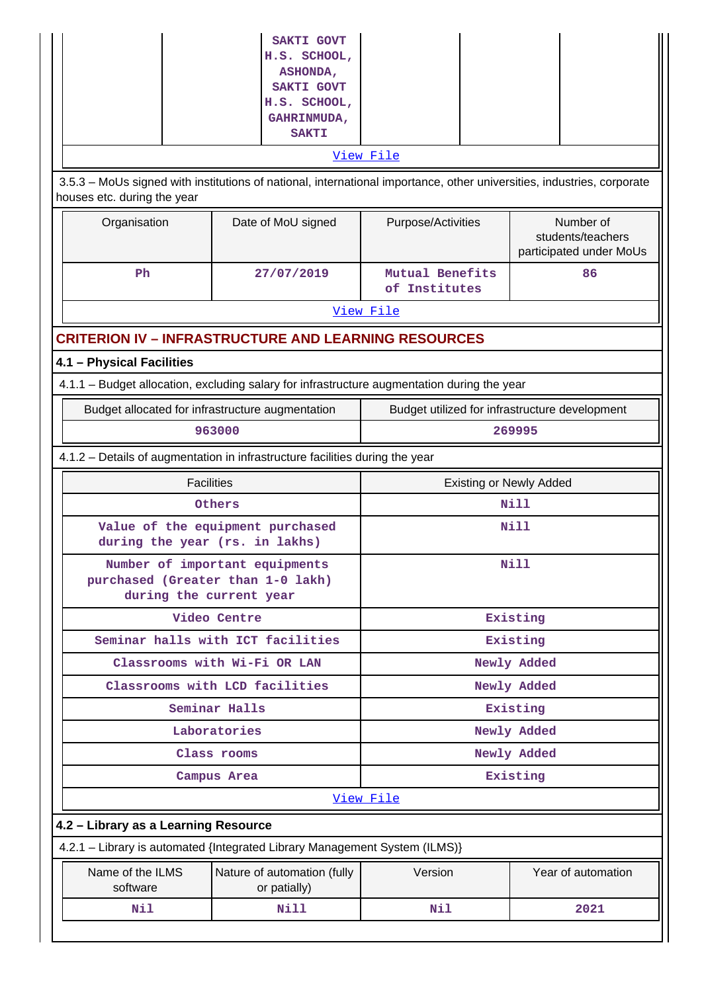| H.S. SCHOOL,<br>ASHONDA,<br>SAKTI GOVT<br>H.S. SCHOOL,<br>GAHRINMUDA,<br><b>SAKTI</b><br>View File<br>3.5.3 - MoUs signed with institutions of national, international importance, other universities, industries, corporate<br>houses etc. during the year<br>Number of<br>Organisation<br>Date of MoU signed<br>Purpose/Activities<br>students/teachers<br>participated under MoUs<br>Ph<br>Mutual Benefits<br>27/07/2019<br>86<br>of Institutes<br>View File<br><b>CRITERION IV - INFRASTRUCTURE AND LEARNING RESOURCES</b><br>4.1 - Physical Facilities<br>4.1.1 - Budget allocation, excluding salary for infrastructure augmentation during the year<br>Budget allocated for infrastructure augmentation<br>Budget utilized for infrastructure development<br>963000<br>269995<br>4.1.2 - Details of augmentation in infrastructure facilities during the year<br><b>Facilities</b><br><b>Existing or Newly Added</b><br>Nill<br>Others<br>Value of the equipment purchased<br>Nill<br>during the year (rs. in lakhs)<br>Number of important equipments<br>Nill<br>purchased (Greater than 1-0 lakh)<br>during the current year<br>Existing<br>Video Centre<br>Seminar halls with ICT facilities<br>Existing<br>Classrooms with Wi-Fi OR LAN<br>Newly Added<br>Classrooms with LCD facilities<br>Newly Added |
|--------------------------------------------------------------------------------------------------------------------------------------------------------------------------------------------------------------------------------------------------------------------------------------------------------------------------------------------------------------------------------------------------------------------------------------------------------------------------------------------------------------------------------------------------------------------------------------------------------------------------------------------------------------------------------------------------------------------------------------------------------------------------------------------------------------------------------------------------------------------------------------------------------------------------------------------------------------------------------------------------------------------------------------------------------------------------------------------------------------------------------------------------------------------------------------------------------------------------------------------------------------------------------------------------------------------|
|                                                                                                                                                                                                                                                                                                                                                                                                                                                                                                                                                                                                                                                                                                                                                                                                                                                                                                                                                                                                                                                                                                                                                                                                                                                                                                                    |
|                                                                                                                                                                                                                                                                                                                                                                                                                                                                                                                                                                                                                                                                                                                                                                                                                                                                                                                                                                                                                                                                                                                                                                                                                                                                                                                    |
|                                                                                                                                                                                                                                                                                                                                                                                                                                                                                                                                                                                                                                                                                                                                                                                                                                                                                                                                                                                                                                                                                                                                                                                                                                                                                                                    |
|                                                                                                                                                                                                                                                                                                                                                                                                                                                                                                                                                                                                                                                                                                                                                                                                                                                                                                                                                                                                                                                                                                                                                                                                                                                                                                                    |
|                                                                                                                                                                                                                                                                                                                                                                                                                                                                                                                                                                                                                                                                                                                                                                                                                                                                                                                                                                                                                                                                                                                                                                                                                                                                                                                    |
|                                                                                                                                                                                                                                                                                                                                                                                                                                                                                                                                                                                                                                                                                                                                                                                                                                                                                                                                                                                                                                                                                                                                                                                                                                                                                                                    |
|                                                                                                                                                                                                                                                                                                                                                                                                                                                                                                                                                                                                                                                                                                                                                                                                                                                                                                                                                                                                                                                                                                                                                                                                                                                                                                                    |
|                                                                                                                                                                                                                                                                                                                                                                                                                                                                                                                                                                                                                                                                                                                                                                                                                                                                                                                                                                                                                                                                                                                                                                                                                                                                                                                    |
|                                                                                                                                                                                                                                                                                                                                                                                                                                                                                                                                                                                                                                                                                                                                                                                                                                                                                                                                                                                                                                                                                                                                                                                                                                                                                                                    |
|                                                                                                                                                                                                                                                                                                                                                                                                                                                                                                                                                                                                                                                                                                                                                                                                                                                                                                                                                                                                                                                                                                                                                                                                                                                                                                                    |
|                                                                                                                                                                                                                                                                                                                                                                                                                                                                                                                                                                                                                                                                                                                                                                                                                                                                                                                                                                                                                                                                                                                                                                                                                                                                                                                    |
|                                                                                                                                                                                                                                                                                                                                                                                                                                                                                                                                                                                                                                                                                                                                                                                                                                                                                                                                                                                                                                                                                                                                                                                                                                                                                                                    |
|                                                                                                                                                                                                                                                                                                                                                                                                                                                                                                                                                                                                                                                                                                                                                                                                                                                                                                                                                                                                                                                                                                                                                                                                                                                                                                                    |
|                                                                                                                                                                                                                                                                                                                                                                                                                                                                                                                                                                                                                                                                                                                                                                                                                                                                                                                                                                                                                                                                                                                                                                                                                                                                                                                    |
|                                                                                                                                                                                                                                                                                                                                                                                                                                                                                                                                                                                                                                                                                                                                                                                                                                                                                                                                                                                                                                                                                                                                                                                                                                                                                                                    |
|                                                                                                                                                                                                                                                                                                                                                                                                                                                                                                                                                                                                                                                                                                                                                                                                                                                                                                                                                                                                                                                                                                                                                                                                                                                                                                                    |
|                                                                                                                                                                                                                                                                                                                                                                                                                                                                                                                                                                                                                                                                                                                                                                                                                                                                                                                                                                                                                                                                                                                                                                                                                                                                                                                    |
|                                                                                                                                                                                                                                                                                                                                                                                                                                                                                                                                                                                                                                                                                                                                                                                                                                                                                                                                                                                                                                                                                                                                                                                                                                                                                                                    |
|                                                                                                                                                                                                                                                                                                                                                                                                                                                                                                                                                                                                                                                                                                                                                                                                                                                                                                                                                                                                                                                                                                                                                                                                                                                                                                                    |
|                                                                                                                                                                                                                                                                                                                                                                                                                                                                                                                                                                                                                                                                                                                                                                                                                                                                                                                                                                                                                                                                                                                                                                                                                                                                                                                    |
|                                                                                                                                                                                                                                                                                                                                                                                                                                                                                                                                                                                                                                                                                                                                                                                                                                                                                                                                                                                                                                                                                                                                                                                                                                                                                                                    |
|                                                                                                                                                                                                                                                                                                                                                                                                                                                                                                                                                                                                                                                                                                                                                                                                                                                                                                                                                                                                                                                                                                                                                                                                                                                                                                                    |
| Seminar Halls<br>Existing                                                                                                                                                                                                                                                                                                                                                                                                                                                                                                                                                                                                                                                                                                                                                                                                                                                                                                                                                                                                                                                                                                                                                                                                                                                                                          |
| Laboratories<br>Newly Added                                                                                                                                                                                                                                                                                                                                                                                                                                                                                                                                                                                                                                                                                                                                                                                                                                                                                                                                                                                                                                                                                                                                                                                                                                                                                        |
| Newly Added<br>Class rooms                                                                                                                                                                                                                                                                                                                                                                                                                                                                                                                                                                                                                                                                                                                                                                                                                                                                                                                                                                                                                                                                                                                                                                                                                                                                                         |
| Existing<br>Campus Area                                                                                                                                                                                                                                                                                                                                                                                                                                                                                                                                                                                                                                                                                                                                                                                                                                                                                                                                                                                                                                                                                                                                                                                                                                                                                            |
| View File                                                                                                                                                                                                                                                                                                                                                                                                                                                                                                                                                                                                                                                                                                                                                                                                                                                                                                                                                                                                                                                                                                                                                                                                                                                                                                          |
| 4.2 - Library as a Learning Resource                                                                                                                                                                                                                                                                                                                                                                                                                                                                                                                                                                                                                                                                                                                                                                                                                                                                                                                                                                                                                                                                                                                                                                                                                                                                               |
| 4.2.1 - Library is automated {Integrated Library Management System (ILMS)}                                                                                                                                                                                                                                                                                                                                                                                                                                                                                                                                                                                                                                                                                                                                                                                                                                                                                                                                                                                                                                                                                                                                                                                                                                         |
| Name of the ILMS<br>Year of automation<br>Nature of automation (fully<br>Version<br>software<br>or patially)                                                                                                                                                                                                                                                                                                                                                                                                                                                                                                                                                                                                                                                                                                                                                                                                                                                                                                                                                                                                                                                                                                                                                                                                       |
| Nil<br>Nill<br>Nil<br>2021                                                                                                                                                                                                                                                                                                                                                                                                                                                                                                                                                                                                                                                                                                                                                                                                                                                                                                                                                                                                                                                                                                                                                                                                                                                                                         |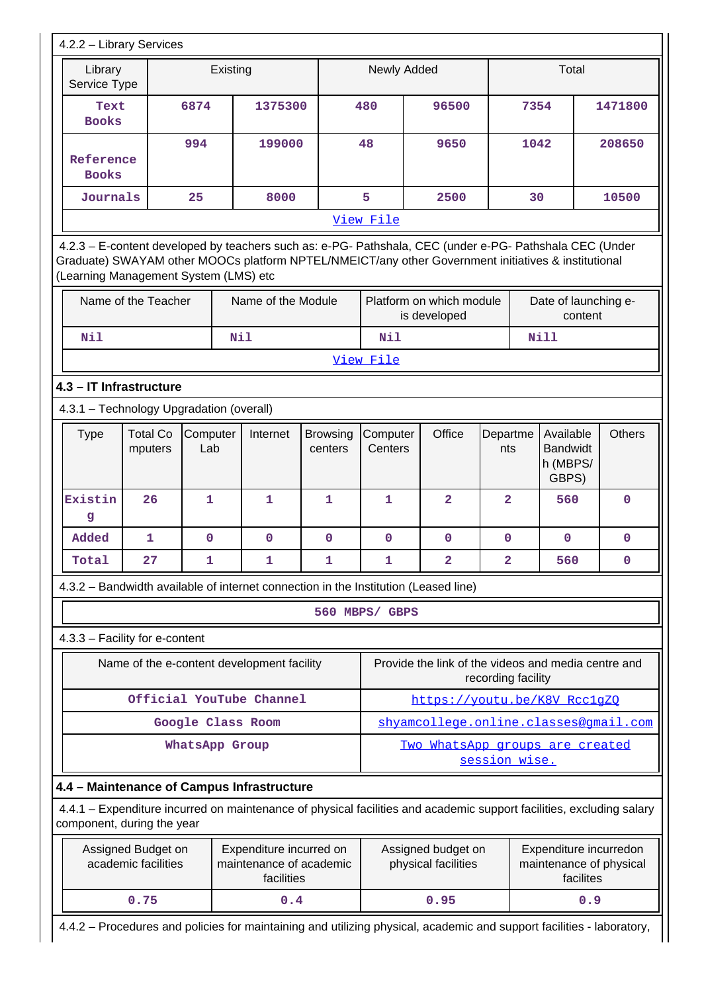| Library                                                                                                                                                                                                                                                 |                                          | Existing          |                                                                                     |                            | Newly Added         |                                                                                                                      |                    | Total                                             |         |               |  |
|---------------------------------------------------------------------------------------------------------------------------------------------------------------------------------------------------------------------------------------------------------|------------------------------------------|-------------------|-------------------------------------------------------------------------------------|----------------------------|---------------------|----------------------------------------------------------------------------------------------------------------------|--------------------|---------------------------------------------------|---------|---------------|--|
| Service Type                                                                                                                                                                                                                                            |                                          |                   |                                                                                     |                            |                     |                                                                                                                      |                    |                                                   |         |               |  |
| Text<br><b>Books</b>                                                                                                                                                                                                                                    |                                          | 6874              | 1375300                                                                             |                            | 480                 | 96500                                                                                                                |                    | 7354                                              |         | 1471800       |  |
| Reference<br><b>Books</b>                                                                                                                                                                                                                               |                                          | 994               | 199000                                                                              |                            | 48                  | 9650                                                                                                                 |                    | 1042                                              |         | 208650        |  |
| Journals                                                                                                                                                                                                                                                |                                          | 25                | 8000                                                                                |                            | 5                   | 2500                                                                                                                 |                    | 30                                                |         | 10500         |  |
|                                                                                                                                                                                                                                                         |                                          |                   |                                                                                     |                            | View File           |                                                                                                                      |                    |                                                   |         |               |  |
| 4.2.3 - E-content developed by teachers such as: e-PG- Pathshala, CEC (under e-PG- Pathshala CEC (Under<br>Graduate) SWAYAM other MOOCs platform NPTEL/NMEICT/any other Government initiatives & institutional<br>(Learning Management System (LMS) etc |                                          |                   |                                                                                     |                            |                     |                                                                                                                      |                    |                                                   |         |               |  |
|                                                                                                                                                                                                                                                         | Name of the Teacher                      |                   | Name of the Module                                                                  |                            |                     | Platform on which module<br>is developed                                                                             |                    | Date of launching e-                              | content |               |  |
| Nil                                                                                                                                                                                                                                                     |                                          |                   | Nil                                                                                 |                            | Nil                 |                                                                                                                      |                    | <b>Nill</b>                                       |         |               |  |
|                                                                                                                                                                                                                                                         |                                          |                   |                                                                                     |                            | View File           |                                                                                                                      |                    |                                                   |         |               |  |
|                                                                                                                                                                                                                                                         | 4.3 - IT Infrastructure                  |                   |                                                                                     |                            |                     |                                                                                                                      |                    |                                                   |         |               |  |
|                                                                                                                                                                                                                                                         | 4.3.1 - Technology Upgradation (overall) |                   |                                                                                     |                            |                     |                                                                                                                      |                    |                                                   |         |               |  |
| <b>Type</b><br><b>Total Co</b><br>Computer<br>Lab<br>mputers                                                                                                                                                                                            |                                          |                   | Internet                                                                            | <b>Browsing</b><br>centers | Computer<br>Centers | Office                                                                                                               | Departme<br>nts    | Available<br><b>Bandwidt</b><br>h (MBPS/<br>GBPS) |         | <b>Others</b> |  |
| Existin<br>g                                                                                                                                                                                                                                            | 26                                       | 1                 | $\mathbf{1}$                                                                        | 1                          | 1                   | $\mathbf{2}$                                                                                                         | $\overline{a}$     | 560                                               |         | $\mathbf 0$   |  |
| Added                                                                                                                                                                                                                                                   | 1                                        | $\mathbf 0$       | $\mathbf 0$                                                                         | $\mathbf 0$                | $\mathbf 0$         | $\mathbf 0$                                                                                                          | $\mathbf 0$        | $\mathbf 0$                                       |         | $\mathbf 0$   |  |
| Total                                                                                                                                                                                                                                                   | 27                                       | ı                 | ı                                                                                   | ı                          | ı<br>2<br>2<br>560  |                                                                                                                      |                    | 0                                                 |         |               |  |
|                                                                                                                                                                                                                                                         |                                          |                   | 4.3.2 - Bandwidth available of internet connection in the Institution (Leased line) |                            |                     |                                                                                                                      |                    |                                                   |         |               |  |
|                                                                                                                                                                                                                                                         |                                          |                   |                                                                                     |                            | 560 MBPS/ GBPS      |                                                                                                                      |                    |                                                   |         |               |  |
|                                                                                                                                                                                                                                                         | 4.3.3 - Facility for e-content           |                   |                                                                                     |                            |                     |                                                                                                                      |                    |                                                   |         |               |  |
|                                                                                                                                                                                                                                                         |                                          |                   | Name of the e-content development facility                                          |                            |                     | Provide the link of the videos and media centre and                                                                  | recording facility |                                                   |         |               |  |
|                                                                                                                                                                                                                                                         |                                          |                   | Official YouTube Channel                                                            |                            |                     | https://youtu.be/K8V_RcclgZQ                                                                                         |                    |                                                   |         |               |  |
|                                                                                                                                                                                                                                                         |                                          | Google Class Room |                                                                                     |                            |                     | shyamcollege.online.classes@gmail.com                                                                                |                    |                                                   |         |               |  |
|                                                                                                                                                                                                                                                         |                                          | WhatsApp Group    |                                                                                     |                            |                     | Two WhatsApp groups are created                                                                                      | session wise.      |                                                   |         |               |  |
|                                                                                                                                                                                                                                                         |                                          |                   | 4.4 - Maintenance of Campus Infrastructure                                          |                            |                     |                                                                                                                      |                    |                                                   |         |               |  |
|                                                                                                                                                                                                                                                         | component, during the year               |                   |                                                                                     |                            |                     | 4.4.1 – Expenditure incurred on maintenance of physical facilities and academic support facilities, excluding salary |                    |                                                   |         |               |  |
| Assigned Budget on<br>Expenditure incurred on<br>Assigned budget on<br>Expenditure incurredon<br>academic facilities<br>maintenance of academic<br>physical facilities<br>maintenance of physical<br>facilities<br>facilites                            |                                          |                   |                                                                                     |                            |                     |                                                                                                                      |                    |                                                   |         |               |  |
|                                                                                                                                                                                                                                                         |                                          |                   |                                                                                     |                            |                     |                                                                                                                      |                    |                                                   |         |               |  |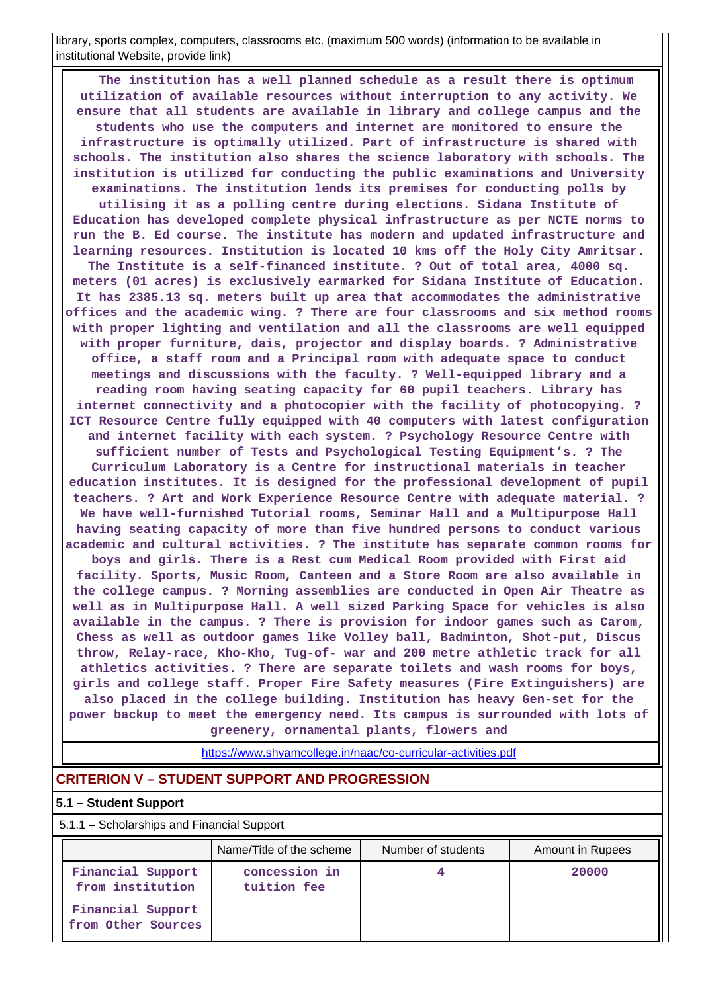library, sports complex, computers, classrooms etc. (maximum 500 words) (information to be available in institutional Website, provide link)

 **The institution has a well planned schedule as a result there is optimum utilization of available resources without interruption to any activity. We ensure that all students are available in library and college campus and the students who use the computers and internet are monitored to ensure the infrastructure is optimally utilized. Part of infrastructure is shared with schools. The institution also shares the science laboratory with schools. The institution is utilized for conducting the public examinations and University examinations. The institution lends its premises for conducting polls by utilising it as a polling centre during elections. Sidana Institute of Education has developed complete physical infrastructure as per NCTE norms to run the B. Ed course. The institute has modern and updated infrastructure and learning resources. Institution is located 10 kms off the Holy City Amritsar. The Institute is a self-financed institute. ? Out of total area, 4000 sq. meters (01 acres) is exclusively earmarked for Sidana Institute of Education. It has 2385.13 sq. meters built up area that accommodates the administrative offices and the academic wing. ? There are four classrooms and six method rooms with proper lighting and ventilation and all the classrooms are well equipped with proper furniture, dais, projector and display boards. ? Administrative office, a staff room and a Principal room with adequate space to conduct meetings and discussions with the faculty. ? Well-equipped library and a reading room having seating capacity for 60 pupil teachers. Library has internet connectivity and a photocopier with the facility of photocopying. ? ICT Resource Centre fully equipped with 40 computers with latest configuration and internet facility with each system. ? Psychology Resource Centre with sufficient number of Tests and Psychological Testing Equipment's. ? The Curriculum Laboratory is a Centre for instructional materials in teacher education institutes. It is designed for the professional development of pupil teachers. ? Art and Work Experience Resource Centre with adequate material. ? We have well-furnished Tutorial rooms, Seminar Hall and a Multipurpose Hall having seating capacity of more than five hundred persons to conduct various academic and cultural activities. ? The institute has separate common rooms for boys and girls. There is a Rest cum Medical Room provided with First aid facility. Sports, Music Room, Canteen and a Store Room are also available in the college campus. ? Morning assemblies are conducted in Open Air Theatre as well as in Multipurpose Hall. A well sized Parking Space for vehicles is also available in the campus. ? There is provision for indoor games such as Carom, Chess as well as outdoor games like Volley ball, Badminton, Shot-put, Discus throw, Relay-race, Kho-Kho, Tug-of- war and 200 metre athletic track for all athletics activities. ? There are separate toilets and wash rooms for boys, girls and college staff. Proper Fire Safety measures (Fire Extinguishers) are also placed in the college building. Institution has heavy Gen-set for the power backup to meet the emergency need. Its campus is surrounded with lots of greenery, ornamental plants, flowers and**

https://www.shyamcollege.in/naac/co-curricular-activities.pdf

#### **CRITERION V – STUDENT SUPPORT AND PROGRESSION**

#### **5.1 – Student Support**

5.1.1 – Scholarships and Financial Support

|                                         | Name/Title of the scheme     | Number of students | Amount in Rupees |
|-----------------------------------------|------------------------------|--------------------|------------------|
| Financial Support<br>from institution   | concession in<br>tuition fee |                    | 20000            |
| Financial Support<br>from Other Sources |                              |                    |                  |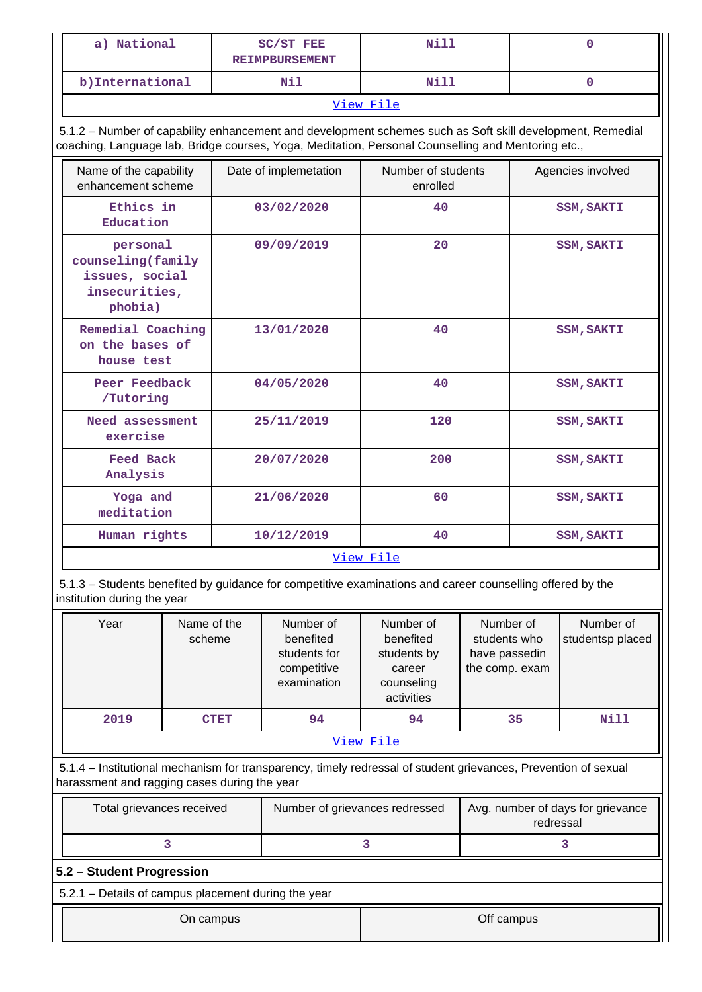| a) National                                                                                                                                                                                                     |             | <b>SC/ST FEE</b><br><b>REIMPBURSEMENT</b>                            | Nill                                                                        |  | 0                                                                                             |                   |  |  |  |  |  |
|-----------------------------------------------------------------------------------------------------------------------------------------------------------------------------------------------------------------|-------------|----------------------------------------------------------------------|-----------------------------------------------------------------------------|--|-----------------------------------------------------------------------------------------------|-------------------|--|--|--|--|--|
| b) International                                                                                                                                                                                                |             | Nil                                                                  | Nill                                                                        |  |                                                                                               | 0                 |  |  |  |  |  |
|                                                                                                                                                                                                                 |             |                                                                      | View File                                                                   |  |                                                                                               |                   |  |  |  |  |  |
| 5.1.2 - Number of capability enhancement and development schemes such as Soft skill development, Remedial<br>coaching, Language lab, Bridge courses, Yoga, Meditation, Personal Counselling and Mentoring etc., |             |                                                                      |                                                                             |  |                                                                                               |                   |  |  |  |  |  |
| Name of the capability<br>enhancement scheme                                                                                                                                                                    |             | Date of implemetation                                                | Number of students<br>enrolled                                              |  | Agencies involved                                                                             |                   |  |  |  |  |  |
| Ethics in<br>Education                                                                                                                                                                                          |             | 03/02/2020                                                           | 40                                                                          |  |                                                                                               | <b>SSM, SAKTI</b> |  |  |  |  |  |
| personal<br>counseling (family<br>issues, social<br>insecurities,<br>phobia)                                                                                                                                    |             | 09/09/2019                                                           | 20                                                                          |  | <b>SSM, SAKTI</b>                                                                             |                   |  |  |  |  |  |
| Remedial Coaching<br>on the bases of<br>house test                                                                                                                                                              |             | 13/01/2020                                                           | 40                                                                          |  |                                                                                               | <b>SSM, SAKTI</b> |  |  |  |  |  |
| Peer Feedback<br>/Tutoring                                                                                                                                                                                      |             | 04/05/2020                                                           | 40                                                                          |  | <b>SSM, SAKTI</b>                                                                             |                   |  |  |  |  |  |
| Need assessment<br>exercise                                                                                                                                                                                     |             | 25/11/2019                                                           | 120                                                                         |  | <b>SSM, SAKTI</b>                                                                             |                   |  |  |  |  |  |
| <b>Feed Back</b><br>Analysis                                                                                                                                                                                    |             | 20/07/2020                                                           | 200                                                                         |  | <b>SSM, SAKTI</b>                                                                             |                   |  |  |  |  |  |
| Yoga and<br>meditation                                                                                                                                                                                          |             | 21/06/2020                                                           | 60                                                                          |  | <b>SSM, SAKTI</b>                                                                             |                   |  |  |  |  |  |
| Human rights                                                                                                                                                                                                    |             | 10/12/2019                                                           | 40                                                                          |  |                                                                                               | <b>SSM, SAKTI</b> |  |  |  |  |  |
|                                                                                                                                                                                                                 |             |                                                                      | View File                                                                   |  |                                                                                               |                   |  |  |  |  |  |
| 5.1.3 – Students benefited by guidance for competitive examinations and career counselling offered by the<br>institution during the year                                                                        |             |                                                                      |                                                                             |  |                                                                                               |                   |  |  |  |  |  |
| Year<br>Name of the<br>scheme                                                                                                                                                                                   |             | Number of<br>benefited<br>students for<br>competitive<br>examination | Number of<br>benefited<br>students by<br>career<br>counseling<br>activities |  | Number of<br>Number of<br>students who<br>studentsp placed<br>have passedin<br>the comp. exam |                   |  |  |  |  |  |
| 2019                                                                                                                                                                                                            | <b>CTET</b> | 94                                                                   | 94                                                                          |  | 35                                                                                            | <b>Nill</b>       |  |  |  |  |  |
|                                                                                                                                                                                                                 |             |                                                                      | View File                                                                   |  |                                                                                               |                   |  |  |  |  |  |
| 5.1.4 – Institutional mechanism for transparency, timely redressal of student grievances, Prevention of sexual<br>harassment and ragging cases during the year                                                  |             |                                                                      |                                                                             |  |                                                                                               |                   |  |  |  |  |  |
| Total grievances received                                                                                                                                                                                       |             | Number of grievances redressed                                       |                                                                             |  | Avg. number of days for grievance<br>redressal                                                |                   |  |  |  |  |  |
| 3                                                                                                                                                                                                               |             |                                                                      | 3                                                                           |  |                                                                                               | 3                 |  |  |  |  |  |
| 5.2 - Student Progression                                                                                                                                                                                       |             |                                                                      |                                                                             |  |                                                                                               |                   |  |  |  |  |  |
| 5.2.1 - Details of campus placement during the year                                                                                                                                                             |             |                                                                      |                                                                             |  |                                                                                               |                   |  |  |  |  |  |
| Off campus<br>On campus                                                                                                                                                                                         |             |                                                                      |                                                                             |  |                                                                                               |                   |  |  |  |  |  |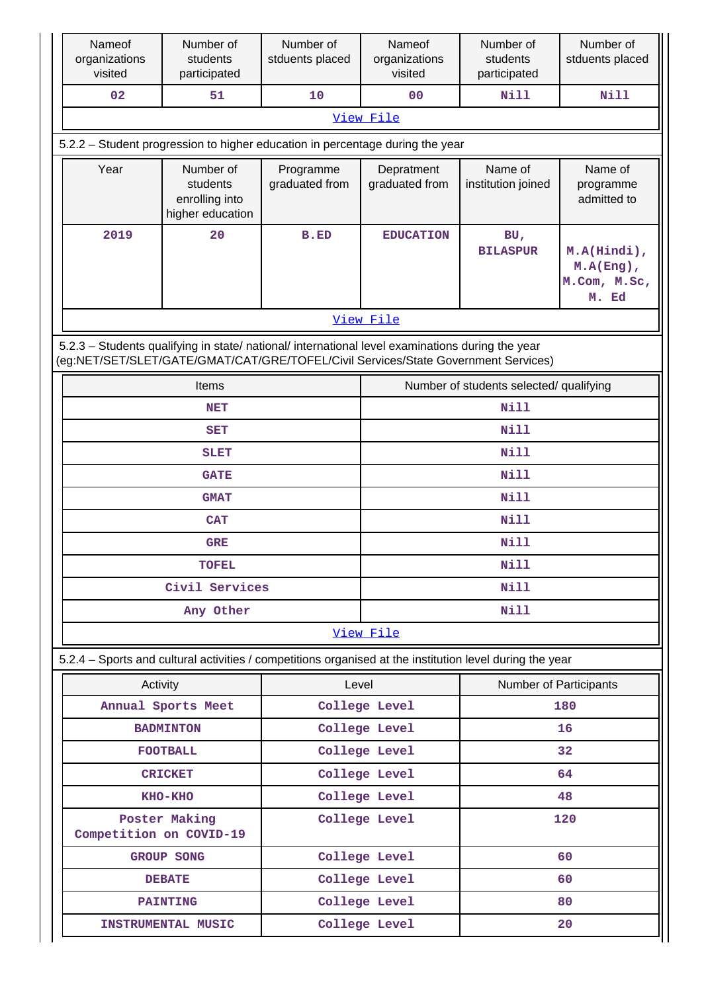|                           | Nameof<br>organizations<br>visited                                                                                                                                                     | Number of<br>students<br>participated                                                                    | Number of<br>stduents placed | Nameof<br>organizations<br>visited | Number of<br>students<br>participated   | Number of<br>stduents placed                         |  |  |  |  |  |
|---------------------------|----------------------------------------------------------------------------------------------------------------------------------------------------------------------------------------|----------------------------------------------------------------------------------------------------------|------------------------------|------------------------------------|-----------------------------------------|------------------------------------------------------|--|--|--|--|--|
|                           | 02                                                                                                                                                                                     | 51                                                                                                       | 10                           | 0 <sub>0</sub>                     | <b>Nill</b>                             | <b>Nill</b>                                          |  |  |  |  |  |
|                           |                                                                                                                                                                                        |                                                                                                          |                              | View File                          |                                         |                                                      |  |  |  |  |  |
|                           |                                                                                                                                                                                        | 5.2.2 - Student progression to higher education in percentage during the year                            |                              |                                    |                                         |                                                      |  |  |  |  |  |
|                           | Year                                                                                                                                                                                   | Number of<br>students<br>enrolling into<br>higher education                                              | Programme<br>graduated from  | Depratment<br>graduated from       | Name of<br>institution joined           | Name of<br>programme<br>admitted to                  |  |  |  |  |  |
|                           | 2019                                                                                                                                                                                   | 20                                                                                                       | <b>B.ED</b>                  | <b>EDUCATION</b>                   | BU<br><b>BILASPUR</b>                   | M.A(Hindi),<br>$M.A(Eng)$ ,<br>M.Com, M.Sc,<br>M. Ed |  |  |  |  |  |
|                           |                                                                                                                                                                                        |                                                                                                          |                              | View File                          |                                         |                                                      |  |  |  |  |  |
|                           | 5.2.3 - Students qualifying in state/ national/ international level examinations during the year<br>(eg:NET/SET/SLET/GATE/GMAT/CAT/GRE/TOFEL/Civil Services/State Government Services) |                                                                                                          |                              |                                    |                                         |                                                      |  |  |  |  |  |
|                           |                                                                                                                                                                                        | <b>Items</b>                                                                                             |                              |                                    | Number of students selected/ qualifying |                                                      |  |  |  |  |  |
|                           |                                                                                                                                                                                        | <b>NET</b>                                                                                               |                              | <b>Nill</b>                        |                                         |                                                      |  |  |  |  |  |
|                           |                                                                                                                                                                                        | <b>SET</b>                                                                                               |                              |                                    | <b>Nill</b>                             |                                                      |  |  |  |  |  |
|                           |                                                                                                                                                                                        | <b>SLET</b>                                                                                              |                              |                                    | <b>Nill</b>                             |                                                      |  |  |  |  |  |
|                           |                                                                                                                                                                                        | <b>GATE</b>                                                                                              |                              |                                    | Nill                                    |                                                      |  |  |  |  |  |
|                           |                                                                                                                                                                                        | <b>GMAT</b>                                                                                              |                              |                                    | <b>Nill</b>                             |                                                      |  |  |  |  |  |
|                           |                                                                                                                                                                                        | <b>CAT</b>                                                                                               |                              |                                    | Nill                                    |                                                      |  |  |  |  |  |
|                           |                                                                                                                                                                                        | <b>GRE</b>                                                                                               |                              | Nill                               |                                         |                                                      |  |  |  |  |  |
|                           |                                                                                                                                                                                        | <b>TOFEL</b>                                                                                             |                              | <b>Nill</b>                        |                                         |                                                      |  |  |  |  |  |
|                           |                                                                                                                                                                                        | Civil Services                                                                                           |                              | Nill                               |                                         |                                                      |  |  |  |  |  |
|                           |                                                                                                                                                                                        | Any Other                                                                                                |                              | Nill<br>View File                  |                                         |                                                      |  |  |  |  |  |
|                           |                                                                                                                                                                                        |                                                                                                          |                              |                                    |                                         |                                                      |  |  |  |  |  |
|                           |                                                                                                                                                                                        | 5.2.4 - Sports and cultural activities / competitions organised at the institution level during the year |                              |                                    |                                         |                                                      |  |  |  |  |  |
|                           | Activity                                                                                                                                                                               |                                                                                                          | Level                        |                                    | Number of Participants                  |                                                      |  |  |  |  |  |
|                           |                                                                                                                                                                                        | Annual Sports Meet                                                                                       |                              | College Level                      |                                         | 180                                                  |  |  |  |  |  |
|                           |                                                                                                                                                                                        | <b>BADMINTON</b>                                                                                         |                              | College Level                      |                                         | 16                                                   |  |  |  |  |  |
|                           |                                                                                                                                                                                        | <b>FOOTBALL</b>                                                                                          |                              | College Level<br>College Level     | 32<br>64                                |                                                      |  |  |  |  |  |
| <b>CRICKET</b><br>KHO-KHO |                                                                                                                                                                                        |                                                                                                          |                              | College Level                      |                                         |                                                      |  |  |  |  |  |
|                           | Competition on COVID-19                                                                                                                                                                | Poster Making                                                                                            |                              | College Level                      | 48<br>120                               |                                                      |  |  |  |  |  |
|                           |                                                                                                                                                                                        | <b>GROUP SONG</b>                                                                                        |                              | College Level                      | 60                                      |                                                      |  |  |  |  |  |
|                           |                                                                                                                                                                                        | <b>DEBATE</b>                                                                                            |                              | College Level                      | 60                                      |                                                      |  |  |  |  |  |
|                           |                                                                                                                                                                                        | <b>PAINTING</b>                                                                                          |                              | College Level                      |                                         | 80                                                   |  |  |  |  |  |
|                           |                                                                                                                                                                                        | INSTRUMENTAL MUSIC                                                                                       |                              | College Level<br>20                |                                         |                                                      |  |  |  |  |  |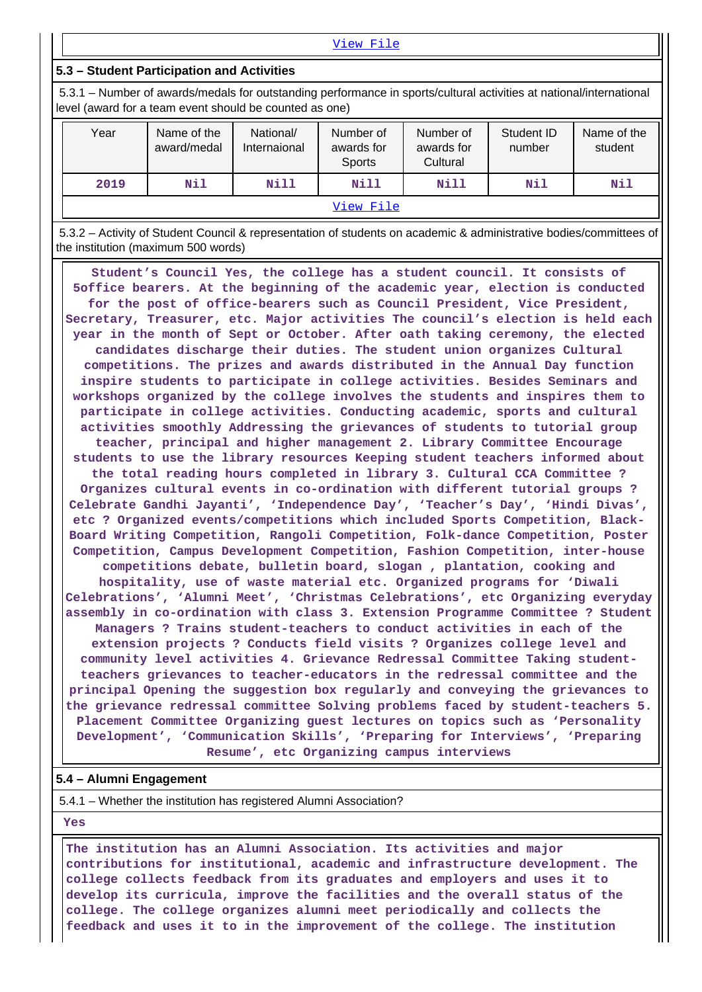View File

#### **5.3 – Student Participation and Activities**

 5.3.1 – Number of awards/medals for outstanding performance in sports/cultural activities at national/international level (award for a team event should be counted as one)

| Year | Name of the<br>award/medal | National/<br>Number of<br>awards for<br>Internaional<br><b>Sports</b><br>Nill<br>Nill |  | Number of<br>awards for<br>Cultural | Student ID<br>number | Name of the<br>student |  |  |  |  |
|------|----------------------------|---------------------------------------------------------------------------------------|--|-------------------------------------|----------------------|------------------------|--|--|--|--|
| 2019 | Nil                        |                                                                                       |  | Nill                                | Nil                  | Nil                    |  |  |  |  |
|      | View File                  |                                                                                       |  |                                     |                      |                        |  |  |  |  |

 5.3.2 – Activity of Student Council & representation of students on academic & administrative bodies/committees of the institution (maximum 500 words)

 **Student's Council Yes, the college has a student council. It consists of 5office bearers. At the beginning of the academic year, election is conducted for the post of office-bearers such as Council President, Vice President, Secretary, Treasurer, etc. Major activities The council's election is held each year in the month of Sept or October. After oath taking ceremony, the elected candidates discharge their duties. The student union organizes Cultural competitions. The prizes and awards distributed in the Annual Day function inspire students to participate in college activities. Besides Seminars and workshops organized by the college involves the students and inspires them to participate in college activities. Conducting academic, sports and cultural activities smoothly Addressing the grievances of students to tutorial group teacher, principal and higher management 2. Library Committee Encourage students to use the library resources Keeping student teachers informed about the total reading hours completed in library 3. Cultural CCA Committee ? Organizes cultural events in co-ordination with different tutorial groups ? Celebrate Gandhi Jayanti', 'Independence Day', 'Teacher's Day', 'Hindi Divas', etc ? Organized events/competitions which included Sports Competition, Black-Board Writing Competition, Rangoli Competition, Folk-dance Competition, Poster Competition, Campus Development Competition, Fashion Competition, inter-house competitions debate, bulletin board, slogan , plantation, cooking and hospitality, use of waste material etc. Organized programs for 'Diwali Celebrations', 'Alumni Meet', 'Christmas Celebrations', etc Organizing everyday assembly in co-ordination with class 3. Extension Programme Committee ? Student Managers ? Trains student-teachers to conduct activities in each of the extension projects ? Conducts field visits ? Organizes college level and community level activities 4. Grievance Redressal Committee Taking studentteachers grievances to teacher-educators in the redressal committee and the principal Opening the suggestion box regularly and conveying the grievances to the grievance redressal committee Solving problems faced by student-teachers 5. Placement Committee Organizing guest lectures on topics such as 'Personality Development', 'Communication Skills', 'Preparing for Interviews', 'Preparing Resume', etc Organizing campus interviews**

#### **5.4 – Alumni Engagement**

5.4.1 – Whether the institution has registered Alumni Association?

 **Yes**

 **The institution has an Alumni Association. Its activities and major contributions for institutional, academic and infrastructure development. The college collects feedback from its graduates and employers and uses it to develop its curricula, improve the facilities and the overall status of the college. The college organizes alumni meet periodically and collects the feedback and uses it to in the improvement of the college. The institution**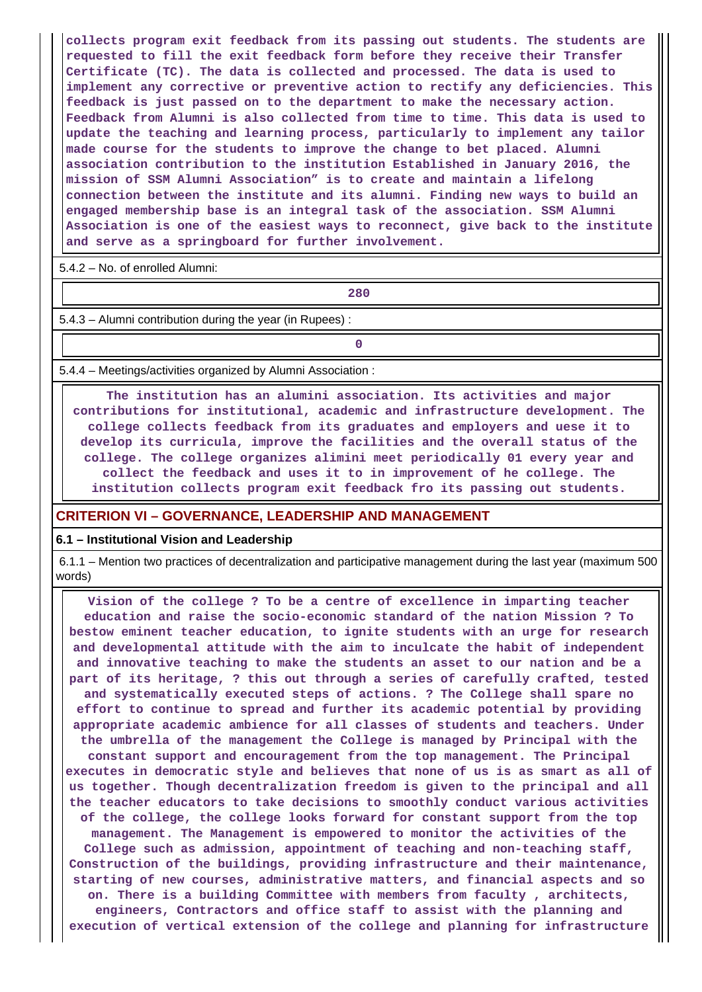**collects program exit feedback from its passing out students. The students are requested to fill the exit feedback form before they receive their Transfer Certificate (TC). The data is collected and processed. The data is used to implement any corrective or preventive action to rectify any deficiencies. This feedback is just passed on to the department to make the necessary action. Feedback from Alumni is also collected from time to time. This data is used to update the teaching and learning process, particularly to implement any tailor made course for the students to improve the change to bet placed. Alumni association contribution to the institution Established in January 2016, the mission of SSM Alumni Association" is to create and maintain a lifelong connection between the institute and its alumni. Finding new ways to build an engaged membership base is an integral task of the association. SSM Alumni Association is one of the easiest ways to reconnect, give back to the institute and serve as a springboard for further involvement.**

5.4.2 – No. of enrolled Alumni:

**280**

5.4.3 – Alumni contribution during the year (in Rupees) :

**0**

5.4.4 – Meetings/activities organized by Alumni Association :

 **The institution has an alumini association. Its activities and major contributions for institutional, academic and infrastructure development. The college collects feedback from its graduates and employers and uese it to develop its curricula, improve the facilities and the overall status of the college. The college organizes alimini meet periodically 01 every year and collect the feedback and uses it to in improvement of he college. The institution collects program exit feedback fro its passing out students.**

#### **CRITERION VI – GOVERNANCE, LEADERSHIP AND MANAGEMENT**

#### **6.1 – Institutional Vision and Leadership**

 6.1.1 – Mention two practices of decentralization and participative management during the last year (maximum 500 words)

 **Vision of the college ? To be a centre of excellence in imparting teacher education and raise the socio-economic standard of the nation Mission ? To bestow eminent teacher education, to ignite students with an urge for research and developmental attitude with the aim to inculcate the habit of independent and innovative teaching to make the students an asset to our nation and be a part of its heritage, ? this out through a series of carefully crafted, tested and systematically executed steps of actions. ? The College shall spare no effort to continue to spread and further its academic potential by providing appropriate academic ambience for all classes of students and teachers. Under the umbrella of the management the College is managed by Principal with the constant support and encouragement from the top management. The Principal executes in democratic style and believes that none of us is as smart as all of us together. Though decentralization freedom is given to the principal and all the teacher educators to take decisions to smoothly conduct various activities of the college, the college looks forward for constant support from the top management. The Management is empowered to monitor the activities of the College such as admission, appointment of teaching and non-teaching staff, Construction of the buildings, providing infrastructure and their maintenance, starting of new courses, administrative matters, and financial aspects and so on. There is a building Committee with members from faculty , architects, engineers, Contractors and office staff to assist with the planning and execution of vertical extension of the college and planning for infrastructure**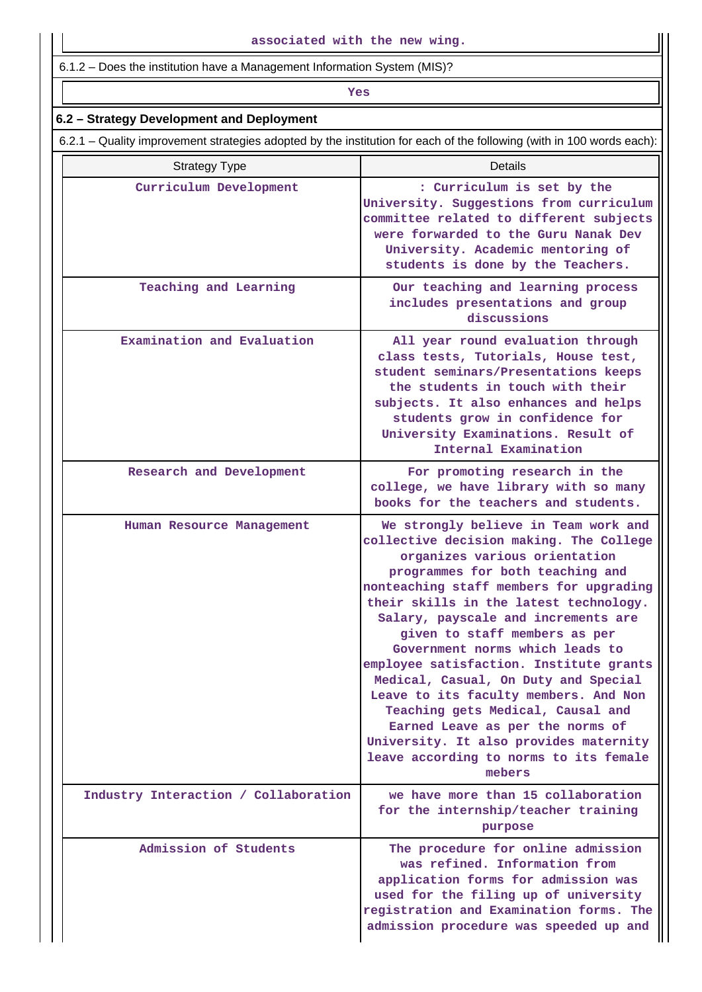6.1.2 – Does the institution have a Management Information System (MIS)?

# *Yes*

# **6.2 – Strategy Development and Deployment**

6.2.1 – Quality improvement strategies adopted by the institution for each of the following (with in 100 words each):

| <b>Strategy Type</b>                 | Details                                                                                                                                                                                                                                                                                                                                                                                                                                                                                                                                                                                                                                                 |
|--------------------------------------|---------------------------------------------------------------------------------------------------------------------------------------------------------------------------------------------------------------------------------------------------------------------------------------------------------------------------------------------------------------------------------------------------------------------------------------------------------------------------------------------------------------------------------------------------------------------------------------------------------------------------------------------------------|
| Curriculum Development               | : Curriculum is set by the<br>University. Suggestions from curriculum<br>committee related to different subjects<br>were forwarded to the Guru Nanak Dev<br>University. Academic mentoring of<br>students is done by the Teachers.                                                                                                                                                                                                                                                                                                                                                                                                                      |
| Teaching and Learning                | Our teaching and learning process<br>includes presentations and group<br>discussions                                                                                                                                                                                                                                                                                                                                                                                                                                                                                                                                                                    |
| Examination and Evaluation           | All year round evaluation through<br>class tests, Tutorials, House test,<br>student seminars/Presentations keeps<br>the students in touch with their<br>subjects. It also enhances and helps<br>students grow in confidence for<br>University Examinations. Result of<br>Internal Examination                                                                                                                                                                                                                                                                                                                                                           |
| Research and Development             | For promoting research in the<br>college, we have library with so many<br>books for the teachers and students.                                                                                                                                                                                                                                                                                                                                                                                                                                                                                                                                          |
| Human Resource Management            | We strongly believe in Team work and<br>collective decision making. The College<br>organizes various orientation<br>programmes for both teaching and<br>nonteaching staff members for upgrading<br>their skills in the latest technology.<br>Salary, payscale and increments are<br>given to staff members as per<br>Government norms which leads to<br>employee satisfaction. Institute grants<br>Medical, Casual, On Duty and Special<br>Leave to its faculty members. And Non<br>Teaching gets Medical, Causal and<br>Earned Leave as per the norms of<br>University. It also provides maternity<br>leave according to norms to its female<br>mebers |
| Industry Interaction / Collaboration | we have more than 15 collaboration<br>for the internship/teacher training<br>purpose                                                                                                                                                                                                                                                                                                                                                                                                                                                                                                                                                                    |
| Admission of Students                | The procedure for online admission<br>was refined. Information from<br>application forms for admission was<br>used for the filing up of university<br>registration and Examination forms. The<br>admission procedure was speeded up and                                                                                                                                                                                                                                                                                                                                                                                                                 |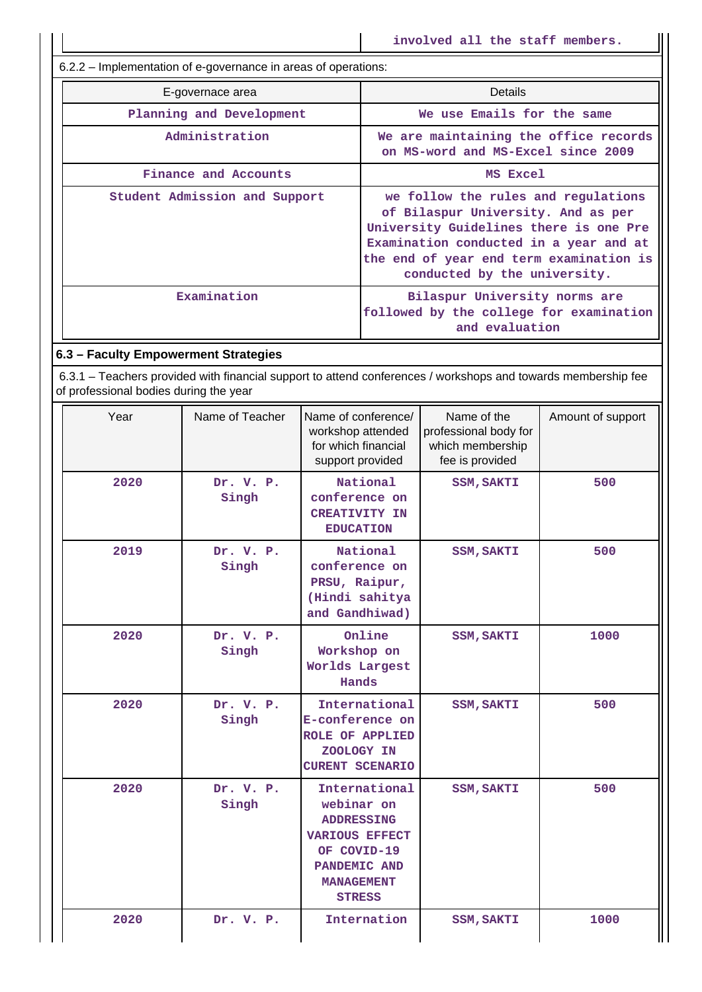6.2.2 – Implementation of e-governance in areas of operations:

| E-governace area              | Details                                                                                                                                                                                                                                  |
|-------------------------------|------------------------------------------------------------------------------------------------------------------------------------------------------------------------------------------------------------------------------------------|
| Planning and Development      | We use Emails for the same                                                                                                                                                                                                               |
| Administration                | We are maintaining the office records<br>on MS-word and MS-Excel since 2009                                                                                                                                                              |
| Finance and Accounts          | MS Excel                                                                                                                                                                                                                                 |
| Student Admission and Support | we follow the rules and regulations<br>of Bilaspur University. And as per<br>University Guidelines there is one Pre<br>Examination conducted in a year and at<br>the end of year end term examination is<br>conducted by the university. |
| Examination                   | Bilaspur University norms are<br>followed by the college for examination<br>and evaluation                                                                                                                                               |

### **6.3 – Faculty Empowerment Strategies**

 6.3.1 – Teachers provided with financial support to attend conferences / workshops and towards membership fee of professional bodies during the year

| Year | Name of Teacher    | Name of conference/<br>workshop attended<br>for which financial<br>support provided                                                            | Name of the<br>professional body for<br>which membership<br>fee is provided | Amount of support |
|------|--------------------|------------------------------------------------------------------------------------------------------------------------------------------------|-----------------------------------------------------------------------------|-------------------|
| 2020 | Dr. V. P.<br>Singh | National<br>conference on<br><b>CREATIVITY IN</b><br><b>EDUCATION</b>                                                                          | <b>SSM, SAKTI</b>                                                           | 500               |
| 2019 | Dr. V. P.<br>Singh | National<br>conference on<br>PRSU, Raipur,<br>(Hindi sahitya<br>and Gandhiwad)                                                                 | <b>SSM, SAKTI</b>                                                           | 500               |
| 2020 | Dr. V. P.<br>Singh | Online<br>Workshop on<br>Worlds Largest<br>Hands                                                                                               | <b>SSM, SAKTI</b>                                                           | 1000              |
| 2020 | Dr. V. P.<br>Singh | International<br>E-conference on<br><b>ROLE OF APPLIED</b><br>ZOOLOGY IN<br><b>CURENT SCENARIO</b>                                             | <b>SSM, SAKTI</b>                                                           | 500               |
| 2020 | Dr. V. P.<br>Singh | International<br>webinar on<br><b>ADDRESSING</b><br><b>VARIOUS EFFECT</b><br>OF COVID-19<br>PANDEMIC AND<br><b>MANAGEMENT</b><br><b>STRESS</b> | <b>SSM, SAKTI</b>                                                           | 500               |
| 2020 | Dr. V. P.          | Internation                                                                                                                                    | <b>SSM, SAKTI</b>                                                           | 1000              |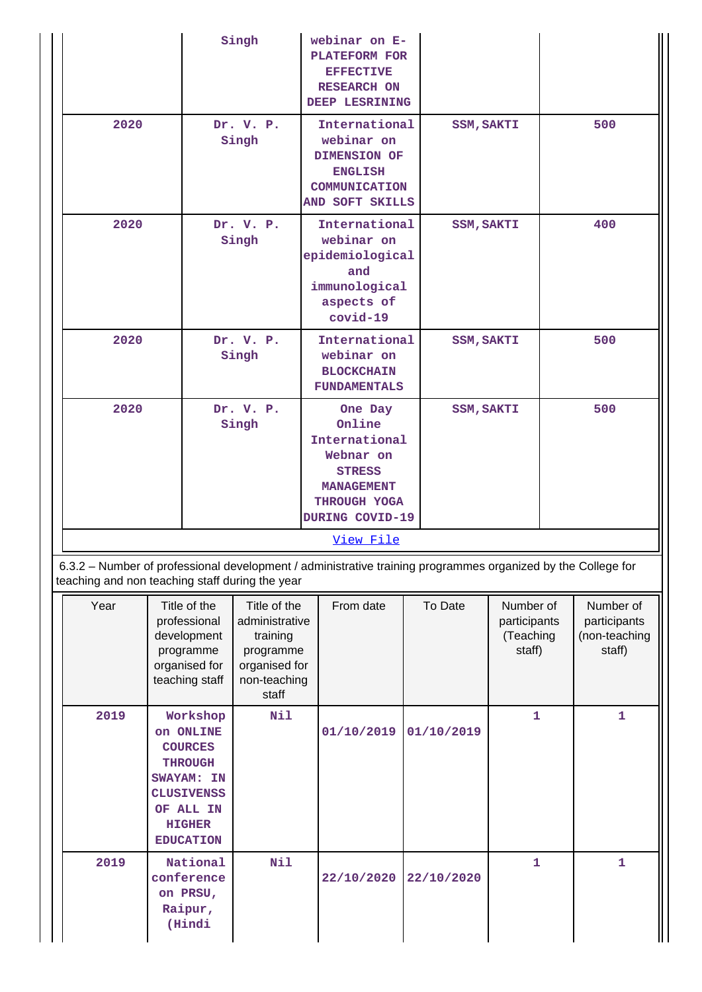|                                                                                                                                                                 |                                                                   | Singh                                                                                                                                                                                            |  |                                                                                                                          |                                                                                                    |                   |            | webinar on E-<br><b>PLATEFORM FOR</b><br><b>EFFECTIVE</b><br><b>RESEARCH ON</b><br>DEEP LESRINING |     |                                                      |  |  |  |
|-----------------------------------------------------------------------------------------------------------------------------------------------------------------|-------------------------------------------------------------------|--------------------------------------------------------------------------------------------------------------------------------------------------------------------------------------------------|--|--------------------------------------------------------------------------------------------------------------------------|----------------------------------------------------------------------------------------------------|-------------------|------------|---------------------------------------------------------------------------------------------------|-----|------------------------------------------------------|--|--|--|
| 2020                                                                                                                                                            |                                                                   | Dr. V. P.<br>Singh                                                                                                                                                                               |  | International<br>webinar on<br><b>DIMENSION OF</b><br><b>ENGLISH</b><br>COMMUNICATION<br>AND SOFT SKILLS                 |                                                                                                    | <b>SSM, SAKTI</b> |            |                                                                                                   | 500 |                                                      |  |  |  |
| 2020                                                                                                                                                            | Dr. V. P.<br>Singh                                                |                                                                                                                                                                                                  |  |                                                                                                                          | International<br>webinar on<br>epidemiological<br>and<br>immunological<br>aspects of<br>$covid-19$ | <b>SSM, SAKTI</b> |            | 400                                                                                               |     |                                                      |  |  |  |
| 2020                                                                                                                                                            | Dr. V. P.<br>Singh                                                |                                                                                                                                                                                                  |  | International<br><b>SSM, SAKTI</b><br>webinar on<br><b>BLOCKCHAIN</b><br><b>FUNDAMENTALS</b>                             |                                                                                                    |                   | 500        |                                                                                                   |     |                                                      |  |  |  |
| 2020                                                                                                                                                            | Dr. V. P.<br>Singh                                                |                                                                                                                                                                                                  |  | One Day<br>Online<br>International<br>Webnar on<br><b>STRESS</b><br><b>MANAGEMENT</b><br>THROUGH YOGA<br>DURING COVID-19 |                                                                                                    | <b>SSM, SAKTI</b> |            |                                                                                                   | 500 |                                                      |  |  |  |
|                                                                                                                                                                 |                                                                   |                                                                                                                                                                                                  |  |                                                                                                                          | View File                                                                                          |                   |            |                                                                                                   |     |                                                      |  |  |  |
| 6.3.2 - Number of professional development / administrative training programmes organized by the College for<br>teaching and non teaching staff during the year |                                                                   |                                                                                                                                                                                                  |  |                                                                                                                          |                                                                                                    |                   |            |                                                                                                   |     |                                                      |  |  |  |
| Year                                                                                                                                                            |                                                                   | Title of the<br>Title of the<br>professional<br>administrative<br>development<br>training<br>programme<br>programme<br>organised for<br>organised for<br>teaching staff<br>non-teaching<br>staff |  |                                                                                                                          | From date                                                                                          |                   | To Date    | Number of<br>participants<br>(Teaching<br>staff)                                                  |     | Number of<br>participants<br>(non-teaching<br>staff) |  |  |  |
| 2019                                                                                                                                                            | Nil<br>Workshop<br>on ONLINE<br><b>COURCES</b><br><b>THOOTICH</b> |                                                                                                                                                                                                  |  |                                                                                                                          | 01/10/2019                                                                                         |                   | 01/10/2019 | 1                                                                                                 |     | $\mathbf{1}$                                         |  |  |  |

|      | OII ONTINE<br><b>COURCES</b><br><b>THROUGH</b><br>SWAYAM: IN<br><b>CLUSIVENSS</b><br>OF ALL IN<br><b>HIGHER</b><br><b>EDUCATION</b> |     | 0T/TO/Z0TA 0T/TO/Z0TA |                       |   |  |
|------|-------------------------------------------------------------------------------------------------------------------------------------|-----|-----------------------|-----------------------|---|--|
| 2019 | National<br>conference<br>on PRSU,<br>Raipur,<br>(Hindi                                                                             | Nil |                       | 22/10/2020 22/10/2020 | 1 |  |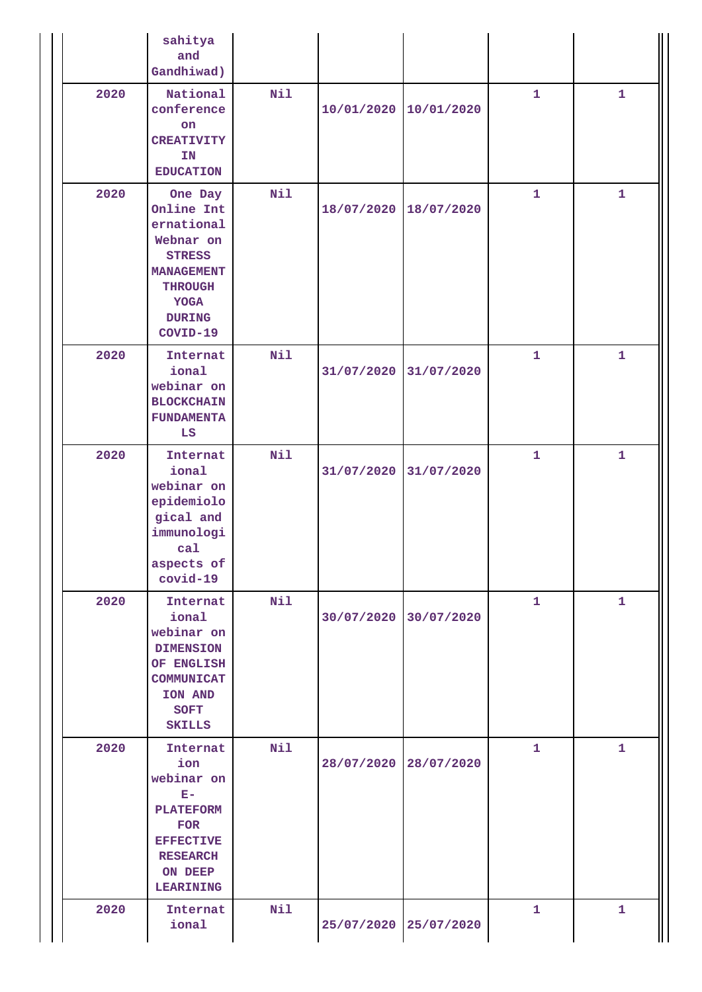|      | sahitya<br>and<br>Gandhiwad)                                                                                                                         |     |                       |            |              |              |
|------|------------------------------------------------------------------------------------------------------------------------------------------------------|-----|-----------------------|------------|--------------|--------------|
| 2020 | National<br>conference<br>on<br><b>CREATIVITY</b><br>IN<br><b>EDUCATION</b>                                                                          | Nil | 10/01/2020            | 10/01/2020 | $\mathbf{1}$ | $\mathbf{1}$ |
| 2020 | One Day<br>Online Int<br>ernational<br>Webnar on<br><b>STRESS</b><br><b>MANAGEMENT</b><br><b>THROUGH</b><br><b>YOGA</b><br><b>DURING</b><br>COVID-19 | Nil | 18/07/2020            | 18/07/2020 | $\mathbf{1}$ | $\mathbf{1}$ |
| 2020 | Internat<br>ional<br>webinar on<br><b>BLOCKCHAIN</b><br><b>FUNDAMENTA</b><br>LS                                                                      | Nil | 31/07/2020            | 31/07/2020 | $\mathbf{1}$ | $\mathbf{1}$ |
| 2020 | Internat<br>ional<br>webinar on<br>epidemiolo<br>gical and<br>immunologi<br>ca1<br>aspects of<br>$covid-19$                                          | Nil | 31/07/2020            | 31/07/2020 | $\mathbf{1}$ | $\mathbf{1}$ |
| 2020 | Internat<br>ional<br>webinar on<br><b>DIMENSION</b><br>OF ENGLISH<br><b>COMMUNICAT</b><br>ION AND<br><b>SOFT</b><br><b>SKILLS</b>                    | Nil | 30/07/2020            | 30/07/2020 | $\mathbf{1}$ | $\mathbf{1}$ |
| 2020 | Internat<br>ion<br>webinar on<br>$E -$<br><b>PLATEFORM</b><br><b>FOR</b><br><b>EFFECTIVE</b><br><b>RESEARCH</b><br>ON DEEP<br><b>LEARINING</b>       | Nil | 28/07/2020            | 28/07/2020 | $\mathbf{1}$ | $\mathbf{1}$ |
| 2020 | Internat<br>ional                                                                                                                                    | Nil | 25/07/2020 25/07/2020 |            | 1            | 1            |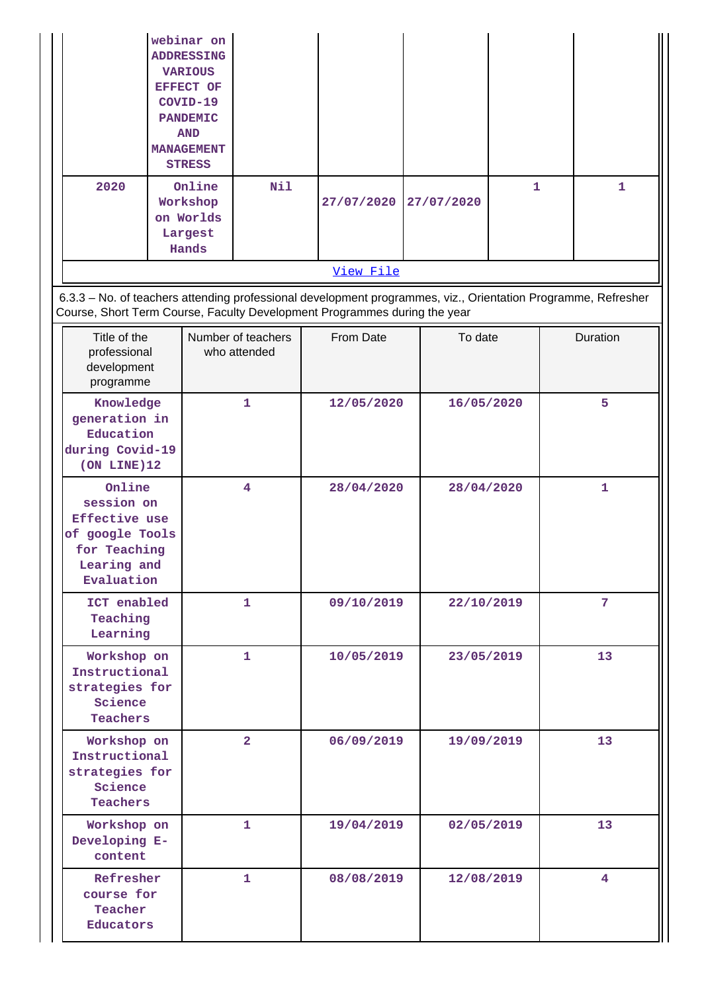|                                                                                                                                                                                            |                                                                                | webinar on<br><b>ADDRESSING</b><br><b>VARIOUS</b><br><b>EFFECT OF</b><br>COVID-19<br><b>PANDEMIC</b><br><b>AND</b><br><b>MANAGEMENT</b><br><b>STRESS</b> |                                    |           |                          |            |            |   |          |                 |
|--------------------------------------------------------------------------------------------------------------------------------------------------------------------------------------------|--------------------------------------------------------------------------------|----------------------------------------------------------------------------------------------------------------------------------------------------------|------------------------------------|-----------|--------------------------|------------|------------|---|----------|-----------------|
|                                                                                                                                                                                            | 2020<br>Online<br>Workshop<br>on Worlds<br>Largest<br>Hands                    |                                                                                                                                                          | Nil                                |           | 27/07/2020               | 27/07/2020 |            | 1 |          | 1               |
|                                                                                                                                                                                            |                                                                                |                                                                                                                                                          |                                    |           | View File                |            |            |   |          |                 |
| 6.3.3 - No. of teachers attending professional development programmes, viz., Orientation Programme, Refresher<br>Course, Short Term Course, Faculty Development Programmes during the year |                                                                                |                                                                                                                                                          |                                    |           |                          |            |            |   |          |                 |
|                                                                                                                                                                                            | Title of the<br>professional<br>development<br>programme                       |                                                                                                                                                          | Number of teachers<br>who attended | From Date |                          |            | To date    |   | Duration |                 |
|                                                                                                                                                                                            | Knowledge<br>generation in<br>Education<br>during Covid-19<br>$(ON$ LINE $)12$ |                                                                                                                                                          | 1                                  |           | 12/05/2020<br>16/05/2020 |            |            |   | 5        |                 |
| Online<br>session on<br>Effective use<br>of google Tools<br>for Teaching<br>Learing and<br>Evaluation                                                                                      |                                                                                | 4                                                                                                                                                        |                                    |           | 28/04/2020               |            | 28/04/2020 |   |          | $\mathbf{1}$    |
| ICT enabled<br>Teaching<br>Learning                                                                                                                                                        |                                                                                |                                                                                                                                                          | $\mathbf{1}$                       |           | 09/10/2019               |            | 22/10/2019 |   |          | $7\phantom{.0}$ |
| Workshop on<br>Instructional<br>strategies for<br>Science<br>Teachers                                                                                                                      |                                                                                | 1                                                                                                                                                        |                                    |           | 10/05/2019               |            | 23/05/2019 |   | 13       |                 |
| Workshop on<br>Instructional<br>strategies for<br>Science<br>Teachers                                                                                                                      |                                                                                | $\overline{2}$                                                                                                                                           |                                    |           | 06/09/2019<br>19/09/2019 |            |            |   | 13       |                 |
| Workshop on<br>Developing E-<br>content                                                                                                                                                    |                                                                                | 1                                                                                                                                                        |                                    |           | 19/04/2019               | 02/05/2019 |            |   |          | 13              |
| Refresher<br>course for<br>Teacher<br>Educators                                                                                                                                            |                                                                                | 1.                                                                                                                                                       |                                    |           | 08/08/2019               |            | 12/08/2019 |   |          | 4               |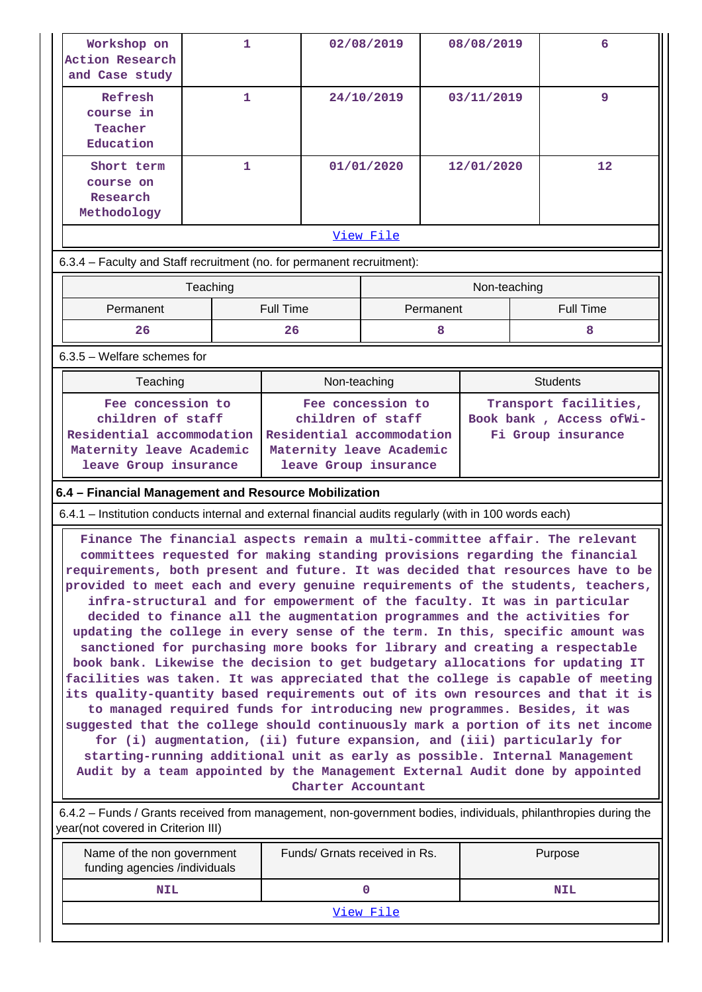| Workshop on<br><b>Action Research</b><br>and Case study                                                | $\mathbf{1}$ |                                                                                                     | 02/08/2019 | 08/08/2019   | 6                                                                                                                                                                                                                                                                                                                                                                                                                                                                                                                                                                                                                                                                                                                                                                                                                                                                                                                                                                                                                                                                                                                                                                                                                                                                                                                          |  |
|--------------------------------------------------------------------------------------------------------|--------------|-----------------------------------------------------------------------------------------------------|------------|--------------|----------------------------------------------------------------------------------------------------------------------------------------------------------------------------------------------------------------------------------------------------------------------------------------------------------------------------------------------------------------------------------------------------------------------------------------------------------------------------------------------------------------------------------------------------------------------------------------------------------------------------------------------------------------------------------------------------------------------------------------------------------------------------------------------------------------------------------------------------------------------------------------------------------------------------------------------------------------------------------------------------------------------------------------------------------------------------------------------------------------------------------------------------------------------------------------------------------------------------------------------------------------------------------------------------------------------------|--|
| Refresh<br>course in<br>Teacher<br>Education                                                           | 1            |                                                                                                     | 24/10/2019 | 03/11/2019   | 9                                                                                                                                                                                                                                                                                                                                                                                                                                                                                                                                                                                                                                                                                                                                                                                                                                                                                                                                                                                                                                                                                                                                                                                                                                                                                                                          |  |
| Short term<br>course on<br>Research<br>Methodology                                                     | 1            |                                                                                                     | 01/01/2020 | 12/01/2020   | 12                                                                                                                                                                                                                                                                                                                                                                                                                                                                                                                                                                                                                                                                                                                                                                                                                                                                                                                                                                                                                                                                                                                                                                                                                                                                                                                         |  |
|                                                                                                        |              |                                                                                                     | View File  |              |                                                                                                                                                                                                                                                                                                                                                                                                                                                                                                                                                                                                                                                                                                                                                                                                                                                                                                                                                                                                                                                                                                                                                                                                                                                                                                                            |  |
| 6.3.4 - Faculty and Staff recruitment (no. for permanent recruitment):                                 |              |                                                                                                     |            |              |                                                                                                                                                                                                                                                                                                                                                                                                                                                                                                                                                                                                                                                                                                                                                                                                                                                                                                                                                                                                                                                                                                                                                                                                                                                                                                                            |  |
|                                                                                                        | Teaching     |                                                                                                     |            | Non-teaching |                                                                                                                                                                                                                                                                                                                                                                                                                                                                                                                                                                                                                                                                                                                                                                                                                                                                                                                                                                                                                                                                                                                                                                                                                                                                                                                            |  |
| Permanent                                                                                              |              | <b>Full Time</b>                                                                                    | Permanent  |              | <b>Full Time</b>                                                                                                                                                                                                                                                                                                                                                                                                                                                                                                                                                                                                                                                                                                                                                                                                                                                                                                                                                                                                                                                                                                                                                                                                                                                                                                           |  |
| 26                                                                                                     |              | 26                                                                                                  | 8          |              | 8                                                                                                                                                                                                                                                                                                                                                                                                                                                                                                                                                                                                                                                                                                                                                                                                                                                                                                                                                                                                                                                                                                                                                                                                                                                                                                                          |  |
| $6.3.5$ – Welfare schemes for                                                                          |              |                                                                                                     |            |              |                                                                                                                                                                                                                                                                                                                                                                                                                                                                                                                                                                                                                                                                                                                                                                                                                                                                                                                                                                                                                                                                                                                                                                                                                                                                                                                            |  |
| Teaching                                                                                               |              | Non-teaching                                                                                        |            |              | <b>Students</b>                                                                                                                                                                                                                                                                                                                                                                                                                                                                                                                                                                                                                                                                                                                                                                                                                                                                                                                                                                                                                                                                                                                                                                                                                                                                                                            |  |
| children of staff<br>Residential accommodation<br>Maternity leave Academic<br>leave Group insurance    |              | children of staff<br>Residential accommodation<br>Maternity leave Academic<br>leave Group insurance |            |              | Book bank, Access ofWi-<br>Fi Group insurance                                                                                                                                                                                                                                                                                                                                                                                                                                                                                                                                                                                                                                                                                                                                                                                                                                                                                                                                                                                                                                                                                                                                                                                                                                                                              |  |
| 6.4 - Financial Management and Resource Mobilization                                                   |              |                                                                                                     |            |              |                                                                                                                                                                                                                                                                                                                                                                                                                                                                                                                                                                                                                                                                                                                                                                                                                                                                                                                                                                                                                                                                                                                                                                                                                                                                                                                            |  |
| 6.4.1 – Institution conducts internal and external financial audits regularly (with in 100 words each) |              |                                                                                                     |            |              |                                                                                                                                                                                                                                                                                                                                                                                                                                                                                                                                                                                                                                                                                                                                                                                                                                                                                                                                                                                                                                                                                                                                                                                                                                                                                                                            |  |
|                                                                                                        |              | Charter Accountant                                                                                  |            |              | Finance The financial aspects remain a multi-committee affair. The relevant<br>committees requested for making standing provisions regarding the financial<br>requirements, both present and future. It was decided that resources have to be<br>provided to meet each and every genuine requirements of the students, teachers,<br>infra-structural and for empowerment of the faculty. It was in particular<br>decided to finance all the augmentation programmes and the activities for<br>updating the college in every sense of the term. In this, specific amount was<br>sanctioned for purchasing more books for library and creating a respectable<br>book bank. Likewise the decision to get budgetary allocations for updating IT<br>facilities was taken. It was appreciated that the college is capable of meeting<br>its quality-quantity based requirements out of its own resources and that it is<br>to managed required funds for introducing new programmes. Besides, it was<br>suggested that the college should continuously mark a portion of its net income<br>for (i) augmentation, (ii) future expansion, and (iii) particularly for<br>starting-running additional unit as early as possible. Internal Management<br>Audit by a team appointed by the Management External Audit done by appointed |  |
| year(not covered in Criterion III)                                                                     |              |                                                                                                     |            |              | 6.4.2 – Funds / Grants received from management, non-government bodies, individuals, philanthropies during the                                                                                                                                                                                                                                                                                                                                                                                                                                                                                                                                                                                                                                                                                                                                                                                                                                                                                                                                                                                                                                                                                                                                                                                                             |  |
| Funds/ Grnats received in Rs.<br>Purpose<br>Name of the non government                                 |              |                                                                                                     |            |              |                                                                                                                                                                                                                                                                                                                                                                                                                                                                                                                                                                                                                                                                                                                                                                                                                                                                                                                                                                                                                                                                                                                                                                                                                                                                                                                            |  |

| Name of the non government<br>funding agencies /individuals | Funds/ Grnats received in Rs. | Purpose    |  |  |  |  |
|-------------------------------------------------------------|-------------------------------|------------|--|--|--|--|
| NIL                                                         |                               | <b>NIL</b> |  |  |  |  |
| View File                                                   |                               |            |  |  |  |  |
|                                                             |                               |            |  |  |  |  |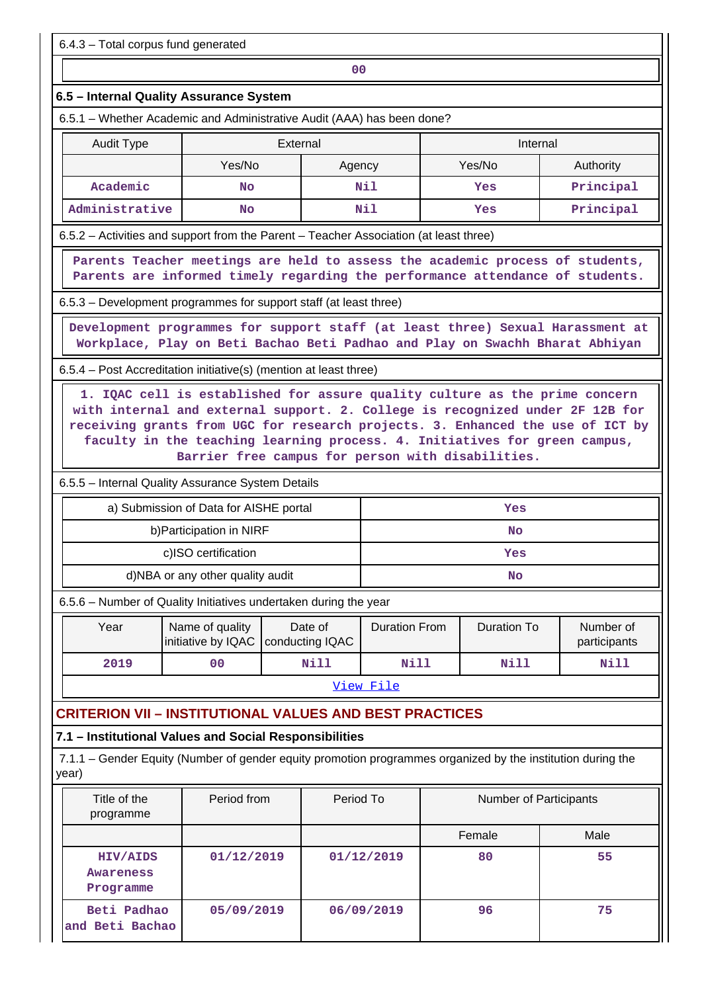**00**

# **6.5 – Internal Quality Assurance System**

6.5.1 – Whether Academic and Administrative Audit (AAA) has been done?

| Audit Type     | External |        | Internal |           |  |
|----------------|----------|--------|----------|-----------|--|
|                | Yes/No   | Agency | Yes/No   | Authority |  |
| Academic       | No       | Nil    | Yes      | Principal |  |
| Administrative | No       | Nil    | Yes      | Principal |  |

6.5.2 – Activities and support from the Parent – Teacher Association (at least three)

 **Parents Teacher meetings are held to assess the academic process of students, Parents are informed timely regarding the performance attendance of students.**

6.5.3 – Development programmes for support staff (at least three)

 **Development programmes for support staff (at least three) Sexual Harassment at Workplace, Play on Beti Bachao Beti Padhao and Play on Swachh Bharat Abhiyan**

6.5.4 – Post Accreditation initiative(s) (mention at least three)

 **1. IQAC cell is established for assure quality culture as the prime concern with internal and external support. 2. College is recognized under 2F 12B for receiving grants from UGC for research projects. 3. Enhanced the use of ICT by faculty in the teaching learning process. 4. Initiatives for green campus, Barrier free campus for person with disabilities.**

6.5.5 – Internal Quality Assurance System Details

| a) Submission of Data for AISHE portal | Yes |
|----------------------------------------|-----|
| b) Participation in NIRF               | No  |
| c)ISO certification                    | Yes |
| d)NBA or any other quality audit       | No  |

6.5.6 – Number of Quality Initiatives undertaken during the year

| Year | Name of quality<br>initiative by IQAC   conducting IQAC | Date of | Duration From | Duration To | Number of<br>participants |
|------|---------------------------------------------------------|---------|---------------|-------------|---------------------------|
| 2019 | 00                                                      | Nill    | Nill          | Nill        | Nill                      |

View File

# **CRITERION VII – INSTITUTIONAL VALUES AND BEST PRACTICES**

# **7.1 – Institutional Values and Social Responsibilities**

 7.1.1 – Gender Equity (Number of gender equity promotion programmes organized by the institution during the year)

| Title of the<br>programme                 | Period from | Period To  | <b>Number of Participants</b> |      |
|-------------------------------------------|-------------|------------|-------------------------------|------|
|                                           |             |            | Female                        | Male |
| <b>HIV/AIDS</b><br>Awareness<br>Programme | 01/12/2019  | 01/12/2019 | 80                            | 55   |
| Beti Padhao<br>and Beti Bachao            | 05/09/2019  | 06/09/2019 | 96                            | 75   |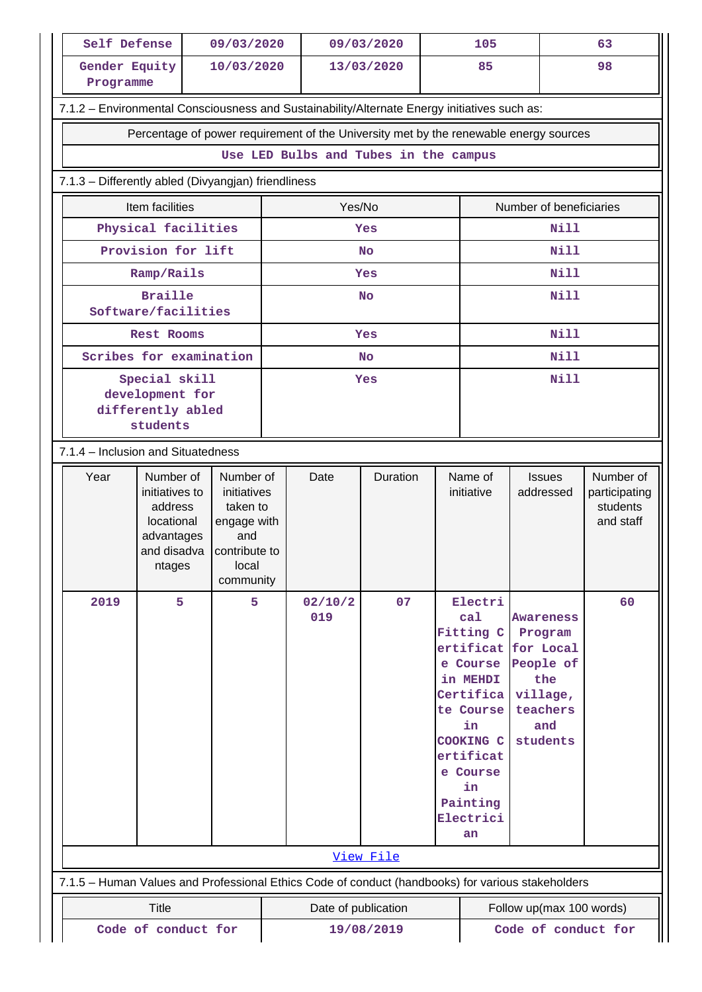| Self Defense                                                                                      |                                                                                             |            | 09/03/2020                                                                                        |  | 09/03/2020     |           |                                                                                                                                                                                              | 105                   |                                                                                            | 63                                                  |
|---------------------------------------------------------------------------------------------------|---------------------------------------------------------------------------------------------|------------|---------------------------------------------------------------------------------------------------|--|----------------|-----------|----------------------------------------------------------------------------------------------------------------------------------------------------------------------------------------------|-----------------------|--------------------------------------------------------------------------------------------|-----------------------------------------------------|
| Gender Equity<br>Programme                                                                        |                                                                                             | 10/03/2020 |                                                                                                   |  | 13/03/2020     |           | 85                                                                                                                                                                                           |                       | 98                                                                                         |                                                     |
| 7.1.2 - Environmental Consciousness and Sustainability/Alternate Energy initiatives such as:      |                                                                                             |            |                                                                                                   |  |                |           |                                                                                                                                                                                              |                       |                                                                                            |                                                     |
|                                                                                                   | Percentage of power requirement of the University met by the renewable energy sources       |            |                                                                                                   |  |                |           |                                                                                                                                                                                              |                       |                                                                                            |                                                     |
|                                                                                                   | Use LED Bulbs and Tubes in the campus                                                       |            |                                                                                                   |  |                |           |                                                                                                                                                                                              |                       |                                                                                            |                                                     |
| 7.1.3 - Differently abled (Divyangjan) friendliness                                               |                                                                                             |            |                                                                                                   |  |                |           |                                                                                                                                                                                              |                       |                                                                                            |                                                     |
|                                                                                                   | Item facilities                                                                             |            |                                                                                                   |  | Yes/No         |           |                                                                                                                                                                                              |                       | Number of beneficiaries                                                                    |                                                     |
|                                                                                                   | Physical facilities                                                                         |            |                                                                                                   |  |                | Yes       |                                                                                                                                                                                              |                       | <b>Nill</b>                                                                                |                                                     |
|                                                                                                   | Provision for lift                                                                          |            |                                                                                                   |  |                | <b>No</b> |                                                                                                                                                                                              |                       | Nill                                                                                       |                                                     |
|                                                                                                   | Ramp/Rails                                                                                  |            |                                                                                                   |  |                | Yes       |                                                                                                                                                                                              |                       | <b>Nill</b>                                                                                |                                                     |
|                                                                                                   | <b>Braille</b><br>Software/facilities                                                       |            |                                                                                                   |  |                | <b>No</b> |                                                                                                                                                                                              |                       | <b>Nill</b>                                                                                |                                                     |
|                                                                                                   | <b>Rest Rooms</b>                                                                           |            |                                                                                                   |  |                | Yes       |                                                                                                                                                                                              |                       | Nill                                                                                       |                                                     |
| Scribes for examination                                                                           |                                                                                             |            |                                                                                                   |  |                | <b>No</b> |                                                                                                                                                                                              |                       | <b>Nill</b>                                                                                |                                                     |
|                                                                                                   | Special skill<br>development for<br>differently abled<br>students                           |            |                                                                                                   |  | Yes            |           |                                                                                                                                                                                              |                       | <b>Nill</b>                                                                                |                                                     |
|                                                                                                   | 7.1.4 - Inclusion and Situatedness                                                          |            |                                                                                                   |  |                |           |                                                                                                                                                                                              |                       |                                                                                            |                                                     |
| Year                                                                                              | Number of<br>initiatives to<br>address<br>locational<br>advantages<br>and disadva<br>ntages |            | Number of<br>initiatives<br>taken to<br>engage with<br>and<br>contribute to<br>local<br>community |  | Date           | Duration  |                                                                                                                                                                                              | Name of<br>initiative | <b>Issues</b><br>addressed                                                                 | Number of<br>participating<br>students<br>and staff |
| 2019                                                                                              | 5                                                                                           |            | 5                                                                                                 |  | 02/10/2<br>019 | 07        | Electri<br>ca1<br>Fitting C<br>ertificat for Local<br>e Course<br>in MEHDI<br>Certifica<br>te Course<br>in<br><b>COOKING C</b><br>ertificat<br>e Course<br>in<br>Painting<br>Electrici<br>an |                       | <b>Awareness</b><br>Program<br>People of<br>the<br>village,<br>teachers<br>and<br>students | 60                                                  |
|                                                                                                   |                                                                                             |            |                                                                                                   |  |                | View File |                                                                                                                                                                                              |                       |                                                                                            |                                                     |
| 7.1.5 - Human Values and Professional Ethics Code of conduct (handbooks) for various stakeholders |                                                                                             |            |                                                                                                   |  |                |           |                                                                                                                                                                                              |                       |                                                                                            |                                                     |
|                                                                                                   | <b>Title</b><br>Follow up(max 100 words)<br>Date of publication                             |            |                                                                                                   |  |                |           |                                                                                                                                                                                              |                       |                                                                                            |                                                     |
|                                                                                                   | Code of conduct for<br>Code of conduct for<br>19/08/2019                                    |            |                                                                                                   |  |                |           |                                                                                                                                                                                              |                       |                                                                                            |                                                     |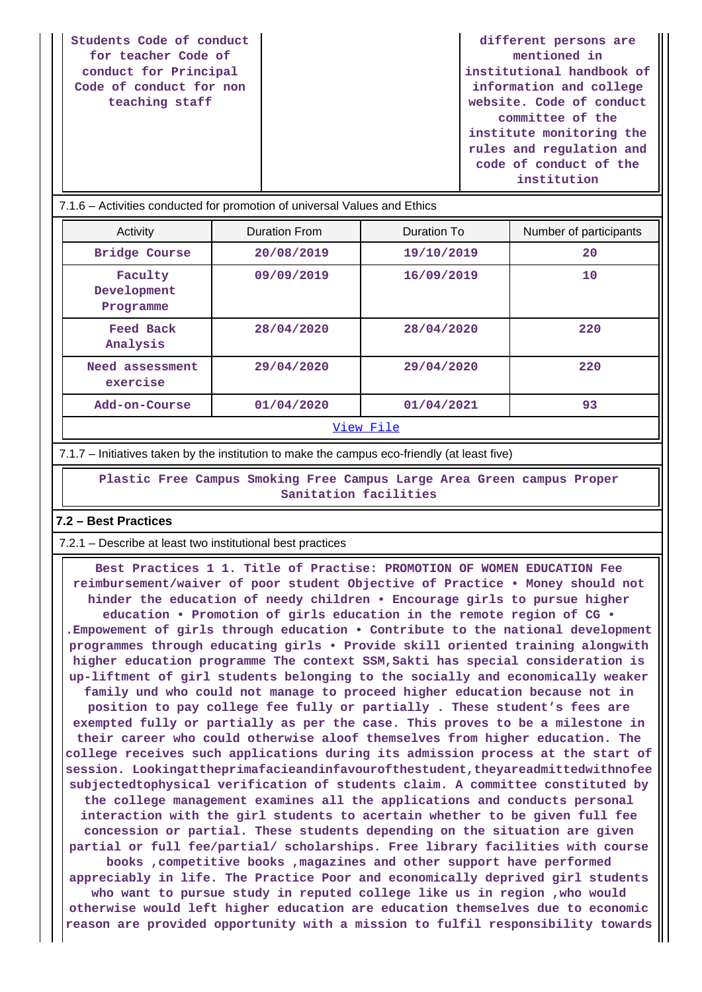| Students Code of conduct                                                          |  | different persons are     |  |  |  |  |
|-----------------------------------------------------------------------------------|--|---------------------------|--|--|--|--|
| for teacher Code of                                                               |  | mentioned in              |  |  |  |  |
| conduct for Principal                                                             |  | institutional handbook of |  |  |  |  |
| Code of conduct for non                                                           |  | information and college   |  |  |  |  |
| teaching staff                                                                    |  | website. Code of conduct  |  |  |  |  |
|                                                                                   |  | committee of the          |  |  |  |  |
|                                                                                   |  | institute monitoring the  |  |  |  |  |
|                                                                                   |  | rules and regulation and  |  |  |  |  |
|                                                                                   |  | code of conduct of the    |  |  |  |  |
|                                                                                   |  | institution               |  |  |  |  |
| <u> 1716 – Activities conducted for promotion of universal Values and Ethics </u> |  |                           |  |  |  |  |

| $I.1.0 - R$ cuvilles conducted for profitution of differential values and Luncs |                      |             |                        |
|---------------------------------------------------------------------------------|----------------------|-------------|------------------------|
| Activity                                                                        | <b>Duration From</b> | Duration To | Number of participants |
| <b>Bridge Course</b>                                                            | 20/08/2019           | 19/10/2019  | 20                     |
| Faculty<br>Development<br>Programme                                             | 09/09/2019           | 16/09/2019  | 10                     |
| Feed Back<br>Analysis                                                           | 28/04/2020           | 28/04/2020  | 220                    |
| Need assessment<br>exercise                                                     | 29/04/2020           | 29/04/2020  | 220                    |
| Add-on-Course                                                                   | 01/04/2020           | 01/04/2021  | 93                     |
| View File                                                                       |                      |             |                        |

7.1.7 – Initiatives taken by the institution to make the campus eco-friendly (at least five)

 **Plastic Free Campus Smoking Free Campus Large Area Green campus Proper Sanitation facilities**

#### **7.2 – Best Practices**

7.2.1 – Describe at least two institutional best practices

 **Best Practices 1 1. Title of Practise: PROMOTION OF WOMEN EDUCATION Fee reimbursement/waiver of poor student Objective of Practice • Money should not hinder the education of needy children • Encourage girls to pursue higher education • Promotion of girls education in the remote region of CG • .Empowement of girls through education • Contribute to the national development programmes through educating girls • Provide skill oriented training alongwith higher education programme The context SSM,Sakti has special consideration is up-liftment of girl students belonging to the socially and economically weaker family und who could not manage to proceed higher education because not in position to pay college fee fully or partially . These student's fees are exempted fully or partially as per the case. This proves to be a milestone in their career who could otherwise aloof themselves from higher education. The college receives such applications during its admission process at the start of session. Lookingattheprimafacieandinfavourofthestudent,theyareadmittedwithnofee subjectedtophysical verification of students claim. A committee constituted by the college management examines all the applications and conducts personal interaction with the girl students to acertain whether to be given full fee concession or partial. These students depending on the situation are given partial or full fee/partial/ scholarships. Free library facilities with course books ,competitive books ,magazines and other support have performed appreciably in life. The Practice Poor and economically deprived girl students who want to pursue study in reputed college like us in region ,who would otherwise would left higher education are education themselves due to economic reason are provided opportunity with a mission to fulfil responsibility towards**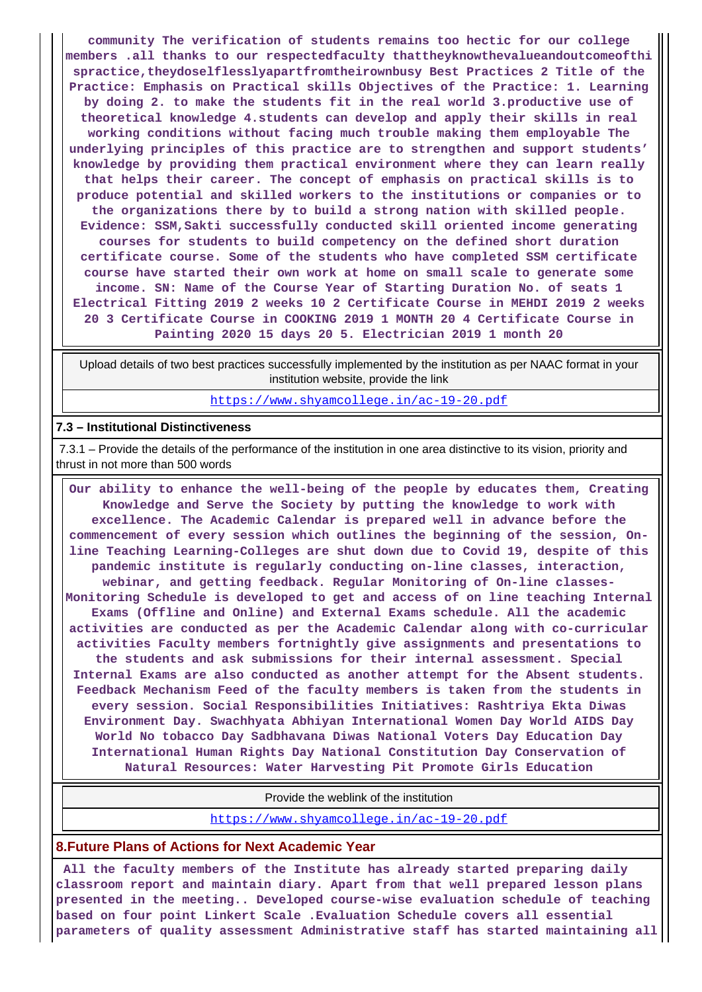**community The verification of students remains too hectic for our college members .all thanks to our respectedfaculty thattheyknowthevalueandoutcomeofthi spractice,theydoselflesslyapartfromtheirownbusy Best Practices 2 Title of the Practice: Emphasis on Practical skills Objectives of the Practice: 1. Learning by doing 2. to make the students fit in the real world 3.productive use of theoretical knowledge 4.students can develop and apply their skills in real working conditions without facing much trouble making them employable The underlying principles of this practice are to strengthen and support students' knowledge by providing them practical environment where they can learn really that helps their career. The concept of emphasis on practical skills is to produce potential and skilled workers to the institutions or companies or to the organizations there by to build a strong nation with skilled people. Evidence: SSM,Sakti successfully conducted skill oriented income generating courses for students to build competency on the defined short duration certificate course. Some of the students who have completed SSM certificate course have started their own work at home on small scale to generate some income. SN: Name of the Course Year of Starting Duration No. of seats 1 Electrical Fitting 2019 2 weeks 10 2 Certificate Course in MEHDI 2019 2 weeks 20 3 Certificate Course in COOKING 2019 1 MONTH 20 4 Certificate Course in Painting 2020 15 days 20 5. Electrician 2019 1 month 20**

 Upload details of two best practices successfully implemented by the institution as per NAAC format in your institution website, provide the link

https://www.shyamcollege.in/ac-19-20.pdf

#### **7.3 – Institutional Distinctiveness**

 7.3.1 – Provide the details of the performance of the institution in one area distinctive to its vision, priority and thrust in not more than 500 words

 **Our ability to enhance the well-being of the people by educates them, Creating Knowledge and Serve the Society by putting the knowledge to work with excellence. The Academic Calendar is prepared well in advance before the commencement of every session which outlines the beginning of the session, Online Teaching Learning-Colleges are shut down due to Covid 19, despite of this pandemic institute is regularly conducting on-line classes, interaction, webinar, and getting feedback. Regular Monitoring of On-line classes-Monitoring Schedule is developed to get and access of on line teaching Internal Exams (Offline and Online) and External Exams schedule. All the academic activities are conducted as per the Academic Calendar along with co-curricular activities Faculty members fortnightly give assignments and presentations to the students and ask submissions for their internal assessment. Special Internal Exams are also conducted as another attempt for the Absent students. Feedback Mechanism Feed of the faculty members is taken from the students in every session. Social Responsibilities Initiatives: Rashtriya Ekta Diwas Environment Day. Swachhyata Abhiyan International Women Day World AIDS Day World No tobacco Day Sadbhavana Diwas National Voters Day Education Day International Human Rights Day National Constitution Day Conservation of Natural Resources: Water Harvesting Pit Promote Girls Education**

Provide the weblink of the institution

https://www.shyamcollege.in/ac-19-20.pdf

#### **8.Future Plans of Actions for Next Academic Year**

 **All the faculty members of the Institute has already started preparing daily classroom report and maintain diary. Apart from that well prepared lesson plans presented in the meeting.. Developed course-wise evaluation schedule of teaching based on four point Linkert Scale .Evaluation Schedule covers all essential parameters of quality assessment Administrative staff has started maintaining all**